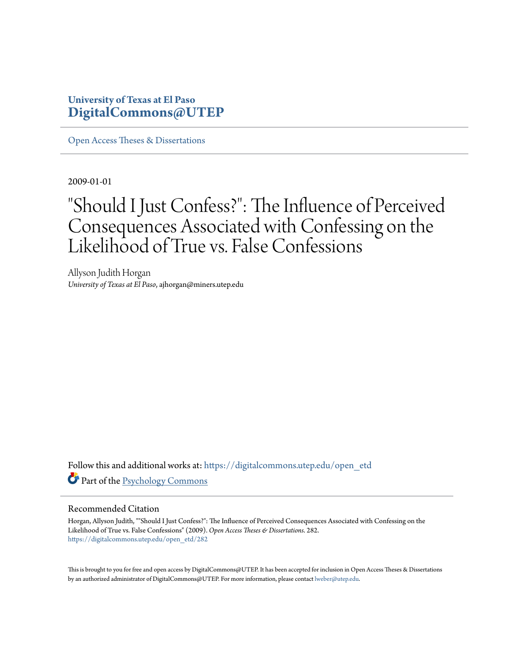## **University of Texas at El Paso [DigitalCommons@UTEP](https://digitalcommons.utep.edu/?utm_source=digitalcommons.utep.edu%2Fopen_etd%2F282&utm_medium=PDF&utm_campaign=PDFCoverPages)**

[Open Access Theses & Dissertations](https://digitalcommons.utep.edu/open_etd?utm_source=digitalcommons.utep.edu%2Fopen_etd%2F282&utm_medium=PDF&utm_campaign=PDFCoverPages)

2009-01-01

# "Should I Just Confess?": The Influence of Perceived Consequences Associated with Confessing on the Likelihood of True vs. False Confessions

Allyson Judith Horgan *University of Texas at El Paso*, ajhorgan@miners.utep.edu

Follow this and additional works at: [https://digitalcommons.utep.edu/open\\_etd](https://digitalcommons.utep.edu/open_etd?utm_source=digitalcommons.utep.edu%2Fopen_etd%2F282&utm_medium=PDF&utm_campaign=PDFCoverPages) Part of the [Psychology Commons](http://network.bepress.com/hgg/discipline/404?utm_source=digitalcommons.utep.edu%2Fopen_etd%2F282&utm_medium=PDF&utm_campaign=PDFCoverPages)

#### Recommended Citation

Horgan, Allyson Judith, ""Should I Just Confess?": The Influence of Perceived Consequences Associated with Confessing on the Likelihood of True vs. False Confessions" (2009). *Open Access Theses & Dissertations*. 282. [https://digitalcommons.utep.edu/open\\_etd/282](https://digitalcommons.utep.edu/open_etd/282?utm_source=digitalcommons.utep.edu%2Fopen_etd%2F282&utm_medium=PDF&utm_campaign=PDFCoverPages)

This is brought to you for free and open access by DigitalCommons@UTEP. It has been accepted for inclusion in Open Access Theses & Dissertations by an authorized administrator of DigitalCommons@UTEP. For more information, please contact [lweber@utep.edu.](mailto:lweber@utep.edu)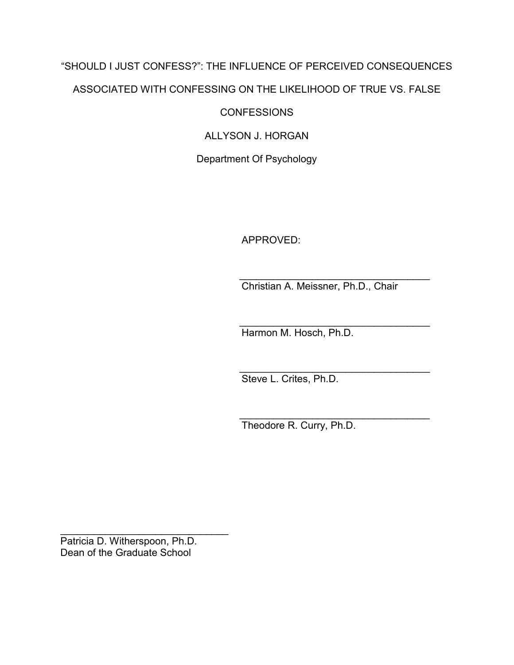# "SHOULD I JUST CONFESS?": THE INFLUENCE OF PERCEIVED CONSEQUENCES ASSOCIATED WITH CONFESSING ON THE LIKELIHOOD OF TRUE VS. FALSE

**CONFESSIONS** 

ALLYSON J. HORGAN

Department Of Psychology

APPROVED:

 $\mathcal{L}_\text{max} = \frac{1}{2} \frac{1}{\sqrt{2}} \frac{1}{\sqrt{2}} \frac{1}{\sqrt{2}} \frac{1}{\sqrt{2}} \frac{1}{\sqrt{2}} \frac{1}{\sqrt{2}} \frac{1}{\sqrt{2}} \frac{1}{\sqrt{2}} \frac{1}{\sqrt{2}} \frac{1}{\sqrt{2}} \frac{1}{\sqrt{2}} \frac{1}{\sqrt{2}} \frac{1}{\sqrt{2}} \frac{1}{\sqrt{2}} \frac{1}{\sqrt{2}} \frac{1}{\sqrt{2}} \frac{1}{\sqrt{2}} \frac{1}{\sqrt{2}} \frac{1}{\sqrt{2}} \frac{1}{\sqrt{2}} \$ Christian A. Meissner, Ph.D., Chair

 $\overline{\phantom{a}}$  ,  $\overline{\phantom{a}}$  ,  $\overline{\phantom{a}}$  ,  $\overline{\phantom{a}}$  ,  $\overline{\phantom{a}}$  ,  $\overline{\phantom{a}}$  ,  $\overline{\phantom{a}}$  ,  $\overline{\phantom{a}}$  ,  $\overline{\phantom{a}}$  ,  $\overline{\phantom{a}}$  ,  $\overline{\phantom{a}}$  ,  $\overline{\phantom{a}}$  ,  $\overline{\phantom{a}}$  ,  $\overline{\phantom{a}}$  ,  $\overline{\phantom{a}}$  ,  $\overline{\phantom{a}}$ Harmon M. Hosch, Ph.D.

 $\overline{\phantom{a}}$  ,  $\overline{\phantom{a}}$  ,  $\overline{\phantom{a}}$  ,  $\overline{\phantom{a}}$  ,  $\overline{\phantom{a}}$  ,  $\overline{\phantom{a}}$  ,  $\overline{\phantom{a}}$  ,  $\overline{\phantom{a}}$  ,  $\overline{\phantom{a}}$  ,  $\overline{\phantom{a}}$  ,  $\overline{\phantom{a}}$  ,  $\overline{\phantom{a}}$  ,  $\overline{\phantom{a}}$  ,  $\overline{\phantom{a}}$  ,  $\overline{\phantom{a}}$  ,  $\overline{\phantom{a}}$ Steve L. Crites, Ph.D.

 $\overline{\phantom{a}}$  ,  $\overline{\phantom{a}}$  ,  $\overline{\phantom{a}}$  ,  $\overline{\phantom{a}}$  ,  $\overline{\phantom{a}}$  ,  $\overline{\phantom{a}}$  ,  $\overline{\phantom{a}}$  ,  $\overline{\phantom{a}}$  ,  $\overline{\phantom{a}}$  ,  $\overline{\phantom{a}}$  ,  $\overline{\phantom{a}}$  ,  $\overline{\phantom{a}}$  ,  $\overline{\phantom{a}}$  ,  $\overline{\phantom{a}}$  ,  $\overline{\phantom{a}}$  ,  $\overline{\phantom{a}}$ Theodore R. Curry, Ph.D.

Patricia D. Witherspoon, Ph.D. Dean of the Graduate School

 $\overline{\phantom{a}}$  , and the set of the set of the set of the set of the set of the set of the set of the set of the set of the set of the set of the set of the set of the set of the set of the set of the set of the set of the s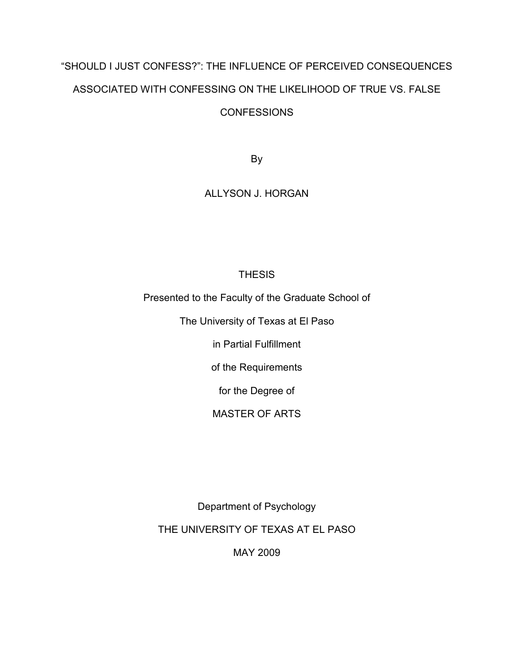# "SHOULD I JUST CONFESS?": THE INFLUENCE OF PERCEIVED CONSEQUENCES ASSOCIATED WITH CONFESSING ON THE LIKELIHOOD OF TRUE VS. FALSE **CONFESSIONS**

By

## ALLYSON J. HORGAN

## **THESIS**

Presented to the Faculty of the Graduate School of

The University of Texas at El Paso

in Partial Fulfillment

of the Requirements

for the Degree of

## MASTER OF ARTS

Department of Psychology

THE UNIVERSITY OF TEXAS AT EL PASO

MAY 2009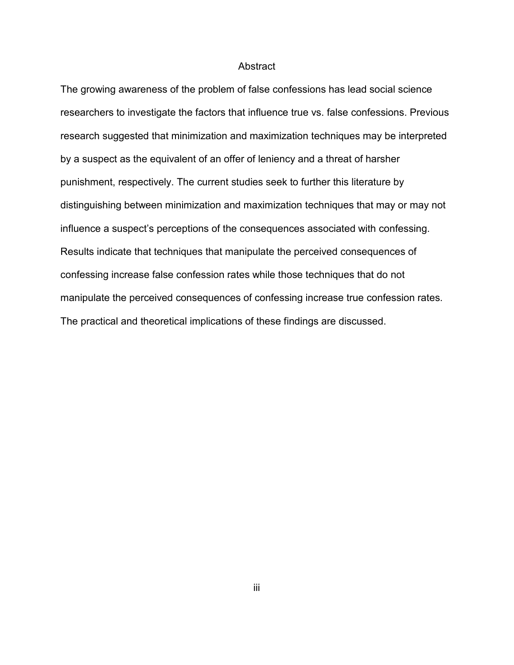#### Abstract

The growing awareness of the problem of false confessions has lead social science researchers to investigate the factors that influence true vs. false confessions. Previous research suggested that minimization and maximization techniques may be interpreted by a suspect as the equivalent of an offer of leniency and a threat of harsher punishment, respectively. The current studies seek to further this literature by distinguishing between minimization and maximization techniques that may or may not influence a suspect's perceptions of the consequences associated with confessing. Results indicate that techniques that manipulate the perceived consequences of confessing increase false confession rates while those techniques that do not manipulate the perceived consequences of confessing increase true confession rates. The practical and theoretical implications of these findings are discussed.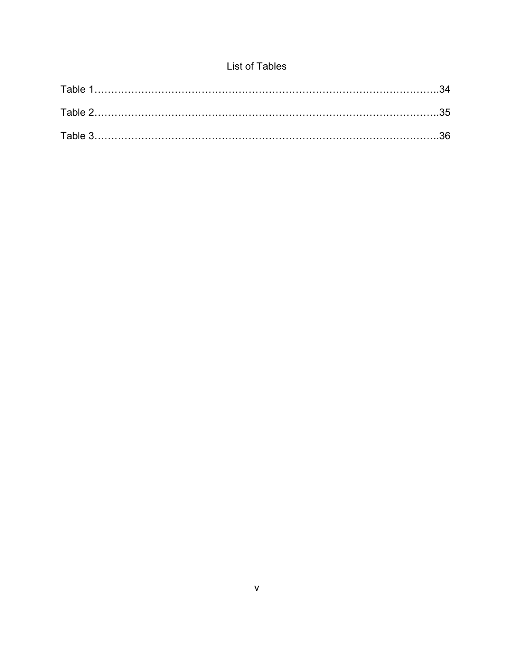# List of Tables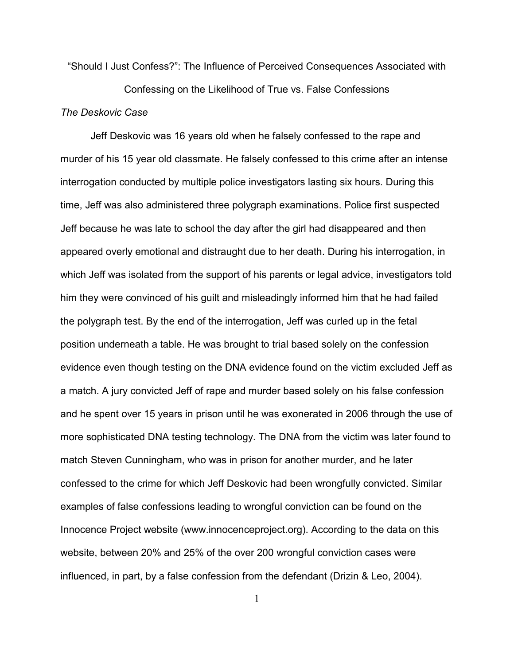"Should I Just Confess?": The Influence of Perceived Consequences Associated with

Confessing on the Likelihood of True vs. False Confessions *The Deskovic Case* 

Jeff Deskovic was 16 years old when he falsely confessed to the rape and murder of his 15 year old classmate. He falsely confessed to this crime after an intense interrogation conducted by multiple police investigators lasting six hours. During this time, Jeff was also administered three polygraph examinations. Police first suspected Jeff because he was late to school the day after the girl had disappeared and then appeared overly emotional and distraught due to her death. During his interrogation, in which Jeff was isolated from the support of his parents or legal advice, investigators told him they were convinced of his guilt and misleadingly informed him that he had failed the polygraph test. By the end of the interrogation, Jeff was curled up in the fetal position underneath a table. He was brought to trial based solely on the confession evidence even though testing on the DNA evidence found on the victim excluded Jeff as a match. A jury convicted Jeff of rape and murder based solely on his false confession and he spent over 15 years in prison until he was exonerated in 2006 through the use of more sophisticated DNA testing technology. The DNA from the victim was later found to match Steven Cunningham, who was in prison for another murder, and he later confessed to the crime for which Jeff Deskovic had been wrongfully convicted. Similar examples of false confessions leading to wrongful conviction can be found on the Innocence Project website (www.innocenceproject.org). According to the data on this website, between 20% and 25% of the over 200 wrongful conviction cases were influenced, in part, by a false confession from the defendant (Drizin & Leo, 2004).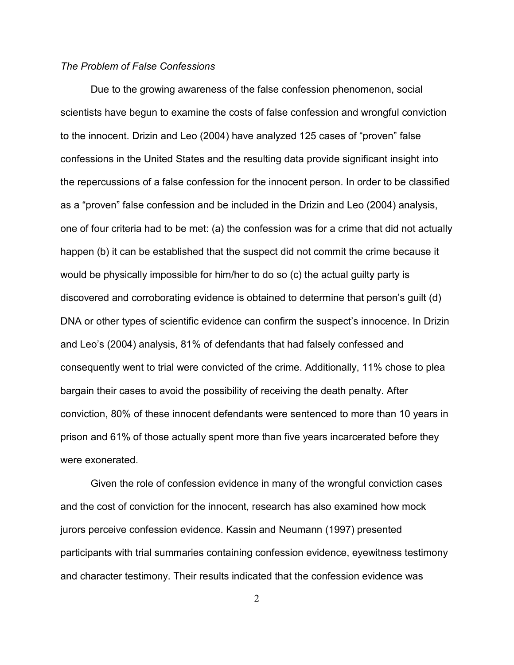#### *The Problem of False Confessions*

Due to the growing awareness of the false confession phenomenon, social scientists have begun to examine the costs of false confession and wrongful conviction to the innocent. Drizin and Leo (2004) have analyzed 125 cases of "proven" false confessions in the United States and the resulting data provide significant insight into the repercussions of a false confession for the innocent person. In order to be classified as a "proven" false confession and be included in the Drizin and Leo (2004) analysis, one of four criteria had to be met: (a) the confession was for a crime that did not actually happen (b) it can be established that the suspect did not commit the crime because it would be physically impossible for him/her to do so (c) the actual guilty party is discovered and corroborating evidence is obtained to determine that person's guilt (d) DNA or other types of scientific evidence can confirm the suspect's innocence. In Drizin and Leo's (2004) analysis, 81% of defendants that had falsely confessed and consequently went to trial were convicted of the crime. Additionally, 11% chose to plea bargain their cases to avoid the possibility of receiving the death penalty. After conviction, 80% of these innocent defendants were sentenced to more than 10 years in prison and 61% of those actually spent more than five years incarcerated before they were exonerated.

Given the role of confession evidence in many of the wrongful conviction cases and the cost of conviction for the innocent, research has also examined how mock jurors perceive confession evidence. Kassin and Neumann (1997) presented participants with trial summaries containing confession evidence, eyewitness testimony and character testimony. Their results indicated that the confession evidence was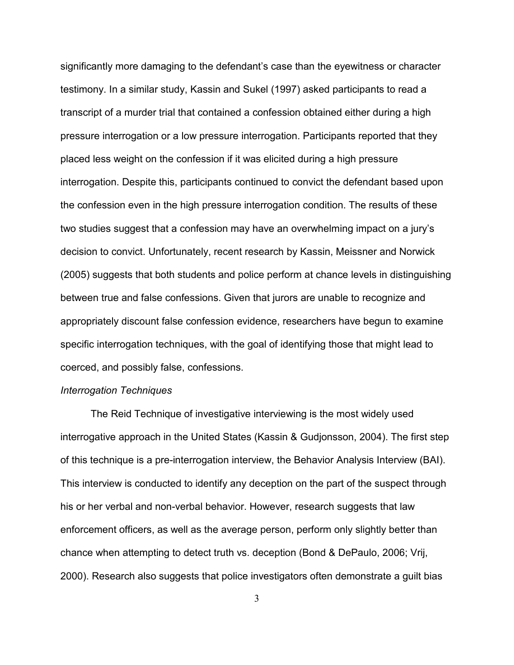significantly more damaging to the defendant's case than the eyewitness or character testimony. In a similar study, Kassin and Sukel (1997) asked participants to read a transcript of a murder trial that contained a confession obtained either during a high pressure interrogation or a low pressure interrogation. Participants reported that they placed less weight on the confession if it was elicited during a high pressure interrogation. Despite this, participants continued to convict the defendant based upon the confession even in the high pressure interrogation condition. The results of these two studies suggest that a confession may have an overwhelming impact on a jury's decision to convict. Unfortunately, recent research by Kassin, Meissner and Norwick (2005) suggests that both students and police perform at chance levels in distinguishing between true and false confessions. Given that jurors are unable to recognize and appropriately discount false confession evidence, researchers have begun to examine specific interrogation techniques, with the goal of identifying those that might lead to coerced, and possibly false, confessions.

#### *Interrogation Techniques*

The Reid Technique of investigative interviewing is the most widely used interrogative approach in the United States (Kassin & Gudjonsson, 2004). The first step of this technique is a pre-interrogation interview, the Behavior Analysis Interview (BAI). This interview is conducted to identify any deception on the part of the suspect through his or her verbal and non-verbal behavior. However, research suggests that law enforcement officers, as well as the average person, perform only slightly better than chance when attempting to detect truth vs. deception (Bond & DePaulo, 2006; Vrij, 2000). Research also suggests that police investigators often demonstrate a guilt bias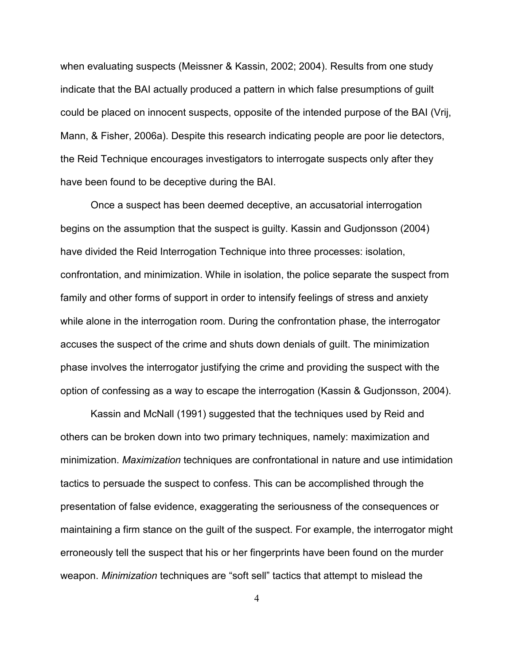when evaluating suspects (Meissner & Kassin, 2002; 2004). Results from one study indicate that the BAI actually produced a pattern in which false presumptions of guilt could be placed on innocent suspects, opposite of the intended purpose of the BAI (Vrij, Mann, & Fisher, 2006a). Despite this research indicating people are poor lie detectors, the Reid Technique encourages investigators to interrogate suspects only after they have been found to be deceptive during the BAI.

Once a suspect has been deemed deceptive, an accusatorial interrogation begins on the assumption that the suspect is guilty. Kassin and Gudjonsson (2004) have divided the Reid Interrogation Technique into three processes: isolation, confrontation, and minimization. While in isolation, the police separate the suspect from family and other forms of support in order to intensify feelings of stress and anxiety while alone in the interrogation room. During the confrontation phase, the interrogator accuses the suspect of the crime and shuts down denials of guilt. The minimization phase involves the interrogator justifying the crime and providing the suspect with the option of confessing as a way to escape the interrogation (Kassin & Gudjonsson, 2004).

Kassin and McNall (1991) suggested that the techniques used by Reid and others can be broken down into two primary techniques, namely: maximization and minimization. *Maximization* techniques are confrontational in nature and use intimidation tactics to persuade the suspect to confess. This can be accomplished through the presentation of false evidence, exaggerating the seriousness of the consequences or maintaining a firm stance on the guilt of the suspect. For example, the interrogator might erroneously tell the suspect that his or her fingerprints have been found on the murder weapon. *Minimization* techniques are "soft sell" tactics that attempt to mislead the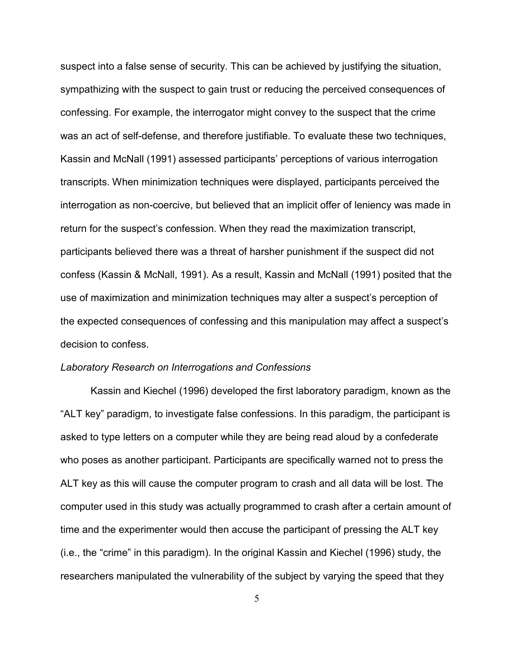suspect into a false sense of security. This can be achieved by justifying the situation, sympathizing with the suspect to gain trust or reducing the perceived consequences of confessing. For example, the interrogator might convey to the suspect that the crime was an act of self-defense, and therefore justifiable. To evaluate these two techniques, Kassin and McNall (1991) assessed participants' perceptions of various interrogation transcripts. When minimization techniques were displayed, participants perceived the interrogation as non-coercive, but believed that an implicit offer of leniency was made in return for the suspect's confession. When they read the maximization transcript, participants believed there was a threat of harsher punishment if the suspect did not confess (Kassin & McNall, 1991). As a result, Kassin and McNall (1991) posited that the use of maximization and minimization techniques may alter a suspect's perception of the expected consequences of confessing and this manipulation may affect a suspect's decision to confess.

#### *Laboratory Research on Interrogations and Confessions*

Kassin and Kiechel (1996) developed the first laboratory paradigm, known as the "ALT key" paradigm, to investigate false confessions. In this paradigm, the participant is asked to type letters on a computer while they are being read aloud by a confederate who poses as another participant. Participants are specifically warned not to press the ALT key as this will cause the computer program to crash and all data will be lost. The computer used in this study was actually programmed to crash after a certain amount of time and the experimenter would then accuse the participant of pressing the ALT key (i.e., the "crime" in this paradigm). In the original Kassin and Kiechel (1996) study, the researchers manipulated the vulnerability of the subject by varying the speed that they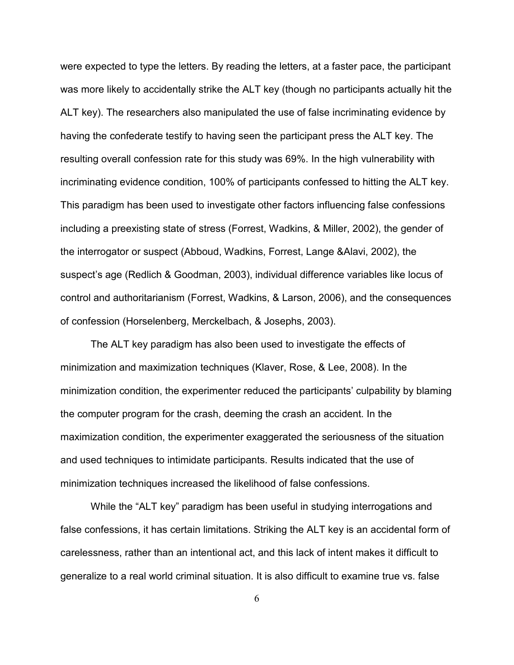were expected to type the letters. By reading the letters, at a faster pace, the participant was more likely to accidentally strike the ALT key (though no participants actually hit the ALT key). The researchers also manipulated the use of false incriminating evidence by having the confederate testify to having seen the participant press the ALT key. The resulting overall confession rate for this study was 69%. In the high vulnerability with incriminating evidence condition, 100% of participants confessed to hitting the ALT key. This paradigm has been used to investigate other factors influencing false confessions including a preexisting state of stress (Forrest, Wadkins, & Miller, 2002), the gender of the interrogator or suspect (Abboud, Wadkins, Forrest, Lange &Alavi, 2002), the suspect's age (Redlich & Goodman, 2003), individual difference variables like locus of control and authoritarianism (Forrest, Wadkins, & Larson, 2006), and the consequences of confession (Horselenberg, Merckelbach, & Josephs, 2003).

The ALT key paradigm has also been used to investigate the effects of minimization and maximization techniques (Klaver, Rose, & Lee, 2008). In the minimization condition, the experimenter reduced the participants' culpability by blaming the computer program for the crash, deeming the crash an accident. In the maximization condition, the experimenter exaggerated the seriousness of the situation and used techniques to intimidate participants. Results indicated that the use of minimization techniques increased the likelihood of false confessions.

While the "ALT key" paradigm has been useful in studying interrogations and false confessions, it has certain limitations. Striking the ALT key is an accidental form of carelessness, rather than an intentional act, and this lack of intent makes it difficult to generalize to a real world criminal situation. It is also difficult to examine true vs. false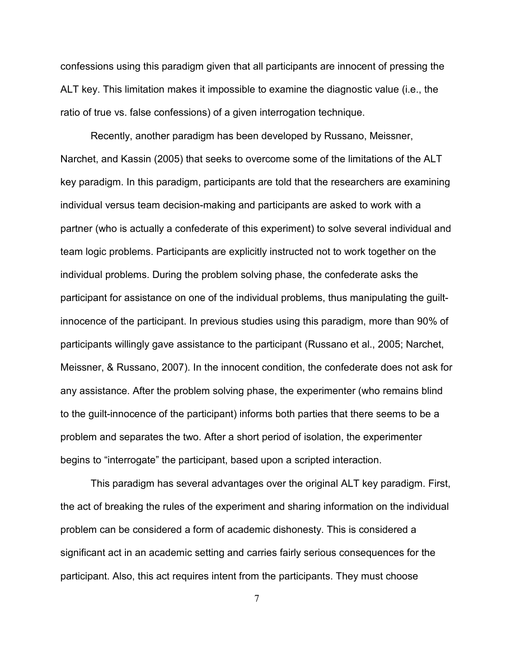confessions using this paradigm given that all participants are innocent of pressing the ALT key. This limitation makes it impossible to examine the diagnostic value (i.e., the ratio of true vs. false confessions) of a given interrogation technique.

Recently, another paradigm has been developed by Russano, Meissner, Narchet, and Kassin (2005) that seeks to overcome some of the limitations of the ALT key paradigm. In this paradigm, participants are told that the researchers are examining individual versus team decision-making and participants are asked to work with a partner (who is actually a confederate of this experiment) to solve several individual and team logic problems. Participants are explicitly instructed not to work together on the individual problems. During the problem solving phase, the confederate asks the participant for assistance on one of the individual problems, thus manipulating the guiltinnocence of the participant. In previous studies using this paradigm, more than 90% of participants willingly gave assistance to the participant (Russano et al., 2005; Narchet, Meissner, & Russano, 2007). In the innocent condition, the confederate does not ask for any assistance. After the problem solving phase, the experimenter (who remains blind to the guilt-innocence of the participant) informs both parties that there seems to be a problem and separates the two. After a short period of isolation, the experimenter begins to "interrogate" the participant, based upon a scripted interaction.

 This paradigm has several advantages over the original ALT key paradigm. First, the act of breaking the rules of the experiment and sharing information on the individual problem can be considered a form of academic dishonesty. This is considered a significant act in an academic setting and carries fairly serious consequences for the participant. Also, this act requires intent from the participants. They must choose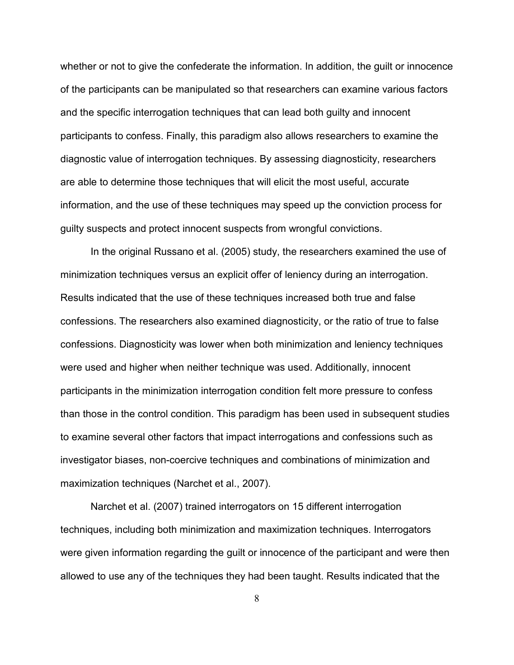whether or not to give the confederate the information. In addition, the guilt or innocence of the participants can be manipulated so that researchers can examine various factors and the specific interrogation techniques that can lead both guilty and innocent participants to confess. Finally, this paradigm also allows researchers to examine the diagnostic value of interrogation techniques. By assessing diagnosticity, researchers are able to determine those techniques that will elicit the most useful, accurate information, and the use of these techniques may speed up the conviction process for guilty suspects and protect innocent suspects from wrongful convictions.

 In the original Russano et al. (2005) study, the researchers examined the use of minimization techniques versus an explicit offer of leniency during an interrogation. Results indicated that the use of these techniques increased both true and false confessions. The researchers also examined diagnosticity, or the ratio of true to false confessions. Diagnosticity was lower when both minimization and leniency techniques were used and higher when neither technique was used. Additionally, innocent participants in the minimization interrogation condition felt more pressure to confess than those in the control condition. This paradigm has been used in subsequent studies to examine several other factors that impact interrogations and confessions such as investigator biases, non-coercive techniques and combinations of minimization and maximization techniques (Narchet et al., 2007).

 Narchet et al. (2007) trained interrogators on 15 different interrogation techniques, including both minimization and maximization techniques. Interrogators were given information regarding the guilt or innocence of the participant and were then allowed to use any of the techniques they had been taught. Results indicated that the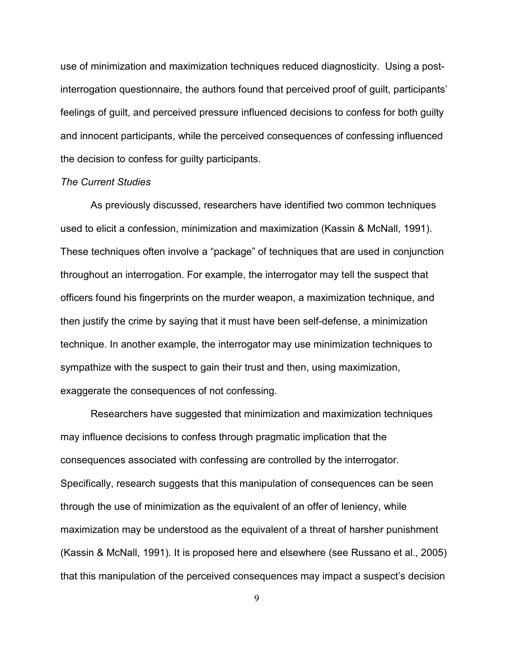use of minimization and maximization techniques reduced diagnosticity. Using a postinterrogation questionnaire, the authors found that perceived proof of guilt, participants' feelings of guilt, and perceived pressure influenced decisions to confess for both guilty and innocent participants, while the perceived consequences of confessing influenced the decision to confess for guilty participants.

#### *The Current Studies*

As previously discussed, researchers have identified two common techniques used to elicit a confession, minimization and maximization (Kassin & McNall, 1991). These techniques often involve a "package" of techniques that are used in conjunction throughout an interrogation. For example, the interrogator may tell the suspect that officers found his fingerprints on the murder weapon, a maximization technique, and then justify the crime by saying that it must have been self-defense, a minimization technique. In another example, the interrogator may use minimization techniques to sympathize with the suspect to gain their trust and then, using maximization, exaggerate the consequences of not confessing.

Researchers have suggested that minimization and maximization techniques may influence decisions to confess through pragmatic implication that the consequences associated with confessing are controlled by the interrogator. Specifically, research suggests that this manipulation of consequences can be seen through the use of minimization as the equivalent of an offer of leniency, while maximization may be understood as the equivalent of a threat of harsher punishment (Kassin & McNall, 1991). It is proposed here and elsewhere (see Russano et al., 2005) that this manipulation of the perceived consequences may impact a suspect's decision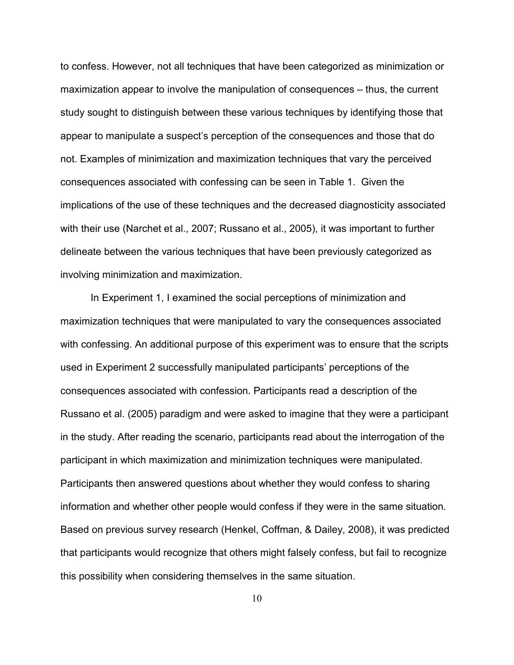to confess. However, not all techniques that have been categorized as minimization or maximization appear to involve the manipulation of consequences – thus, the current study sought to distinguish between these various techniques by identifying those that appear to manipulate a suspect's perception of the consequences and those that do not. Examples of minimization and maximization techniques that vary the perceived consequences associated with confessing can be seen in Table 1. Given the implications of the use of these techniques and the decreased diagnosticity associated with their use (Narchet et al., 2007; Russano et al., 2005), it was important to further delineate between the various techniques that have been previously categorized as involving minimization and maximization.

 In Experiment 1, I examined the social perceptions of minimization and maximization techniques that were manipulated to vary the consequences associated with confessing. An additional purpose of this experiment was to ensure that the scripts used in Experiment 2 successfully manipulated participants' perceptions of the consequences associated with confession. Participants read a description of the Russano et al. (2005) paradigm and were asked to imagine that they were a participant in the study. After reading the scenario, participants read about the interrogation of the participant in which maximization and minimization techniques were manipulated. Participants then answered questions about whether they would confess to sharing information and whether other people would confess if they were in the same situation. Based on previous survey research (Henkel, Coffman, & Dailey, 2008), it was predicted that participants would recognize that others might falsely confess, but fail to recognize this possibility when considering themselves in the same situation.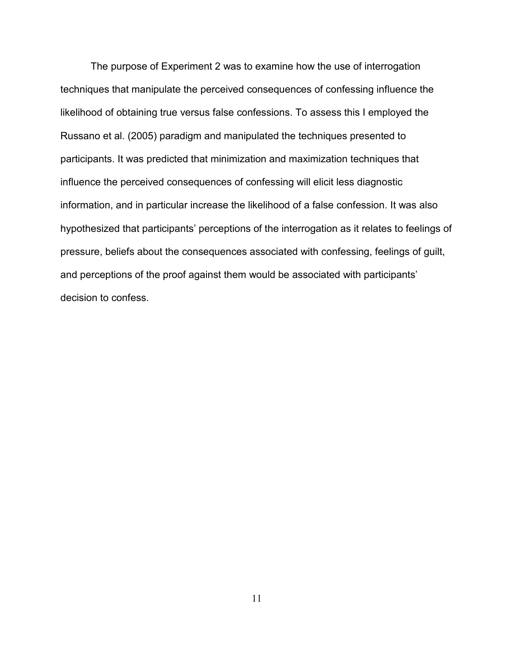The purpose of Experiment 2 was to examine how the use of interrogation techniques that manipulate the perceived consequences of confessing influence the likelihood of obtaining true versus false confessions. To assess this I employed the Russano et al. (2005) paradigm and manipulated the techniques presented to participants. It was predicted that minimization and maximization techniques that influence the perceived consequences of confessing will elicit less diagnostic information, and in particular increase the likelihood of a false confession. It was also hypothesized that participants' perceptions of the interrogation as it relates to feelings of pressure, beliefs about the consequences associated with confessing, feelings of guilt, and perceptions of the proof against them would be associated with participants' decision to confess.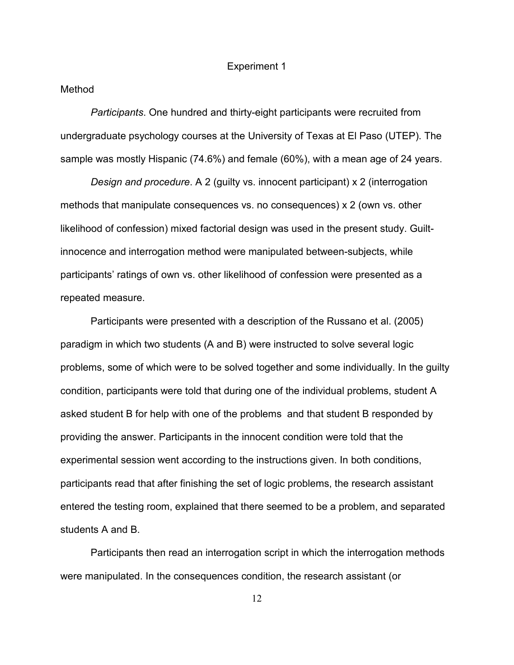#### Experiment 1

#### Method

*Participants*. One hundred and thirty-eight participants were recruited from undergraduate psychology courses at the University of Texas at El Paso (UTEP). The sample was mostly Hispanic (74.6%) and female (60%), with a mean age of 24 years.

*Design and procedure*. A 2 (guilty vs. innocent participant) x 2 (interrogation methods that manipulate consequences vs. no consequences) x 2 (own vs. other likelihood of confession) mixed factorial design was used in the present study. Guiltinnocence and interrogation method were manipulated between-subjects, while participants' ratings of own vs. other likelihood of confession were presented as a repeated measure.

Participants were presented with a description of the Russano et al. (2005) paradigm in which two students (A and B) were instructed to solve several logic problems, some of which were to be solved together and some individually. In the guilty condition, participants were told that during one of the individual problems, student A asked student B for help with one of the problems and that student B responded by providing the answer. Participants in the innocent condition were told that the experimental session went according to the instructions given. In both conditions, participants read that after finishing the set of logic problems, the research assistant entered the testing room, explained that there seemed to be a problem, and separated students A and B.

Participants then read an interrogation script in which the interrogation methods were manipulated. In the consequences condition, the research assistant (or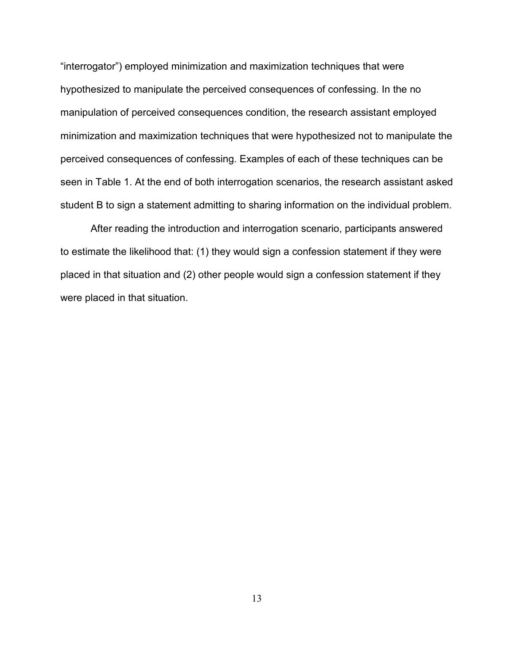"interrogator") employed minimization and maximization techniques that were hypothesized to manipulate the perceived consequences of confessing. In the no manipulation of perceived consequences condition, the research assistant employed minimization and maximization techniques that were hypothesized not to manipulate the perceived consequences of confessing. Examples of each of these techniques can be seen in Table 1. At the end of both interrogation scenarios, the research assistant asked student B to sign a statement admitting to sharing information on the individual problem.

After reading the introduction and interrogation scenario, participants answered to estimate the likelihood that: (1) they would sign a confession statement if they were placed in that situation and (2) other people would sign a confession statement if they were placed in that situation.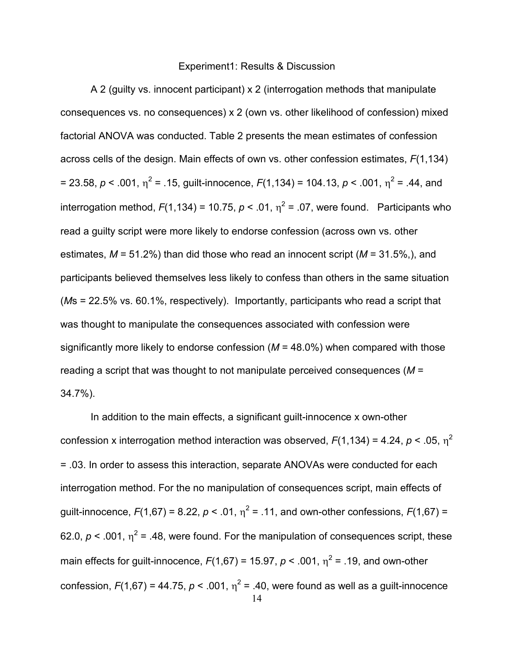#### Experiment1: Results & Discussion

A 2 (guilty vs. innocent participant) x 2 (interrogation methods that manipulate consequences vs. no consequences) x 2 (own vs. other likelihood of confession) mixed factorial ANOVA was conducted. Table 2 presents the mean estimates of confession across cells of the design. Main effects of own vs. other confession estimates, *F*(1,134) = 23.58, *p* < .001, η 2 = .15, guilt-innocence, *F*(1,134) = 104.13, *p* < .001, η 2 = .44, and interrogation method,  $F(1,134) = 10.75$ ,  $p < .01$ ,  $\eta^2 = .07$ , were found. Participants who read a guilty script were more likely to endorse confession (across own vs. other estimates, *M* = 51.2%) than did those who read an innocent script (*M* = 31.5%,), and participants believed themselves less likely to confess than others in the same situation (*M*s = 22.5% vs. 60.1%, respectively). Importantly, participants who read a script that was thought to manipulate the consequences associated with confession were significantly more likely to endorse confession (*M* = 48.0%) when compared with those reading a script that was thought to not manipulate perceived consequences (*M* = 34.7%).

14 In addition to the main effects, a significant guilt-innocence x own-other confession x interrogation method interaction was observed,  $F(1,134)$  = 4.24,  $p < .05$ ,  $\eta^2$ = .03. In order to assess this interaction, separate ANOVAs were conducted for each interrogation method. For the no manipulation of consequences script, main effects of guilt-innocence,  $F(1,67) = 8.22$ ,  $p < .01$ ,  $\eta^2 = .11$ , and own-other confessions,  $F(1,67) =$ 62.0,  $p < 0.001$ ,  $\eta^2$  = .48, were found. For the manipulation of consequences script, these main effects for guilt-innocence,  $F(1,67) = 15.97$ ,  $p < .001$ ,  $\eta^2 = .19$ , and own-other confession,  $F(1,67)$  = 44.75,  $p < .001$ ,  $\eta^2$  = .40, were found as well as a guilt-innocence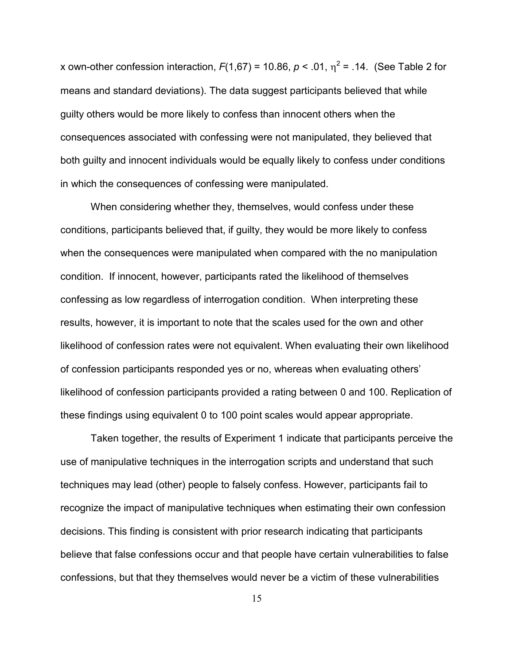x own-other confession interaction,  $F(1,67) = 10.86$ ,  $p < .01$ ,  $\eta^2 = .14$ . (See Table 2 for means and standard deviations). The data suggest participants believed that while guilty others would be more likely to confess than innocent others when the consequences associated with confessing were not manipulated, they believed that both guilty and innocent individuals would be equally likely to confess under conditions in which the consequences of confessing were manipulated.

When considering whether they, themselves, would confess under these conditions, participants believed that, if guilty, they would be more likely to confess when the consequences were manipulated when compared with the no manipulation condition. If innocent, however, participants rated the likelihood of themselves confessing as low regardless of interrogation condition. When interpreting these results, however, it is important to note that the scales used for the own and other likelihood of confession rates were not equivalent. When evaluating their own likelihood of confession participants responded yes or no, whereas when evaluating others' likelihood of confession participants provided a rating between 0 and 100. Replication of these findings using equivalent 0 to 100 point scales would appear appropriate.

Taken together, the results of Experiment 1 indicate that participants perceive the use of manipulative techniques in the interrogation scripts and understand that such techniques may lead (other) people to falsely confess. However, participants fail to recognize the impact of manipulative techniques when estimating their own confession decisions. This finding is consistent with prior research indicating that participants believe that false confessions occur and that people have certain vulnerabilities to false confessions, but that they themselves would never be a victim of these vulnerabilities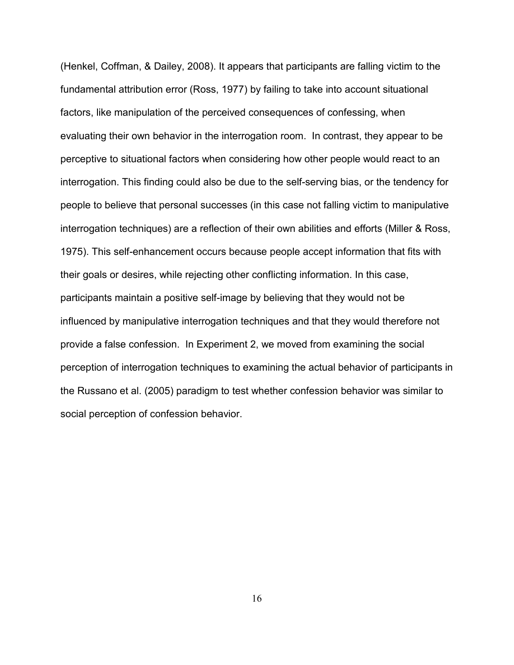(Henkel, Coffman, & Dailey, 2008). It appears that participants are falling victim to the fundamental attribution error (Ross, 1977) by failing to take into account situational factors, like manipulation of the perceived consequences of confessing, when evaluating their own behavior in the interrogation room. In contrast, they appear to be perceptive to situational factors when considering how other people would react to an interrogation. This finding could also be due to the self-serving bias, or the tendency for people to believe that personal successes (in this case not falling victim to manipulative interrogation techniques) are a reflection of their own abilities and efforts (Miller & Ross, 1975). This self-enhancement occurs because people accept information that fits with their goals or desires, while rejecting other conflicting information. In this case, participants maintain a positive self-image by believing that they would not be influenced by manipulative interrogation techniques and that they would therefore not provide a false confession. In Experiment 2, we moved from examining the social perception of interrogation techniques to examining the actual behavior of participants in the Russano et al. (2005) paradigm to test whether confession behavior was similar to social perception of confession behavior.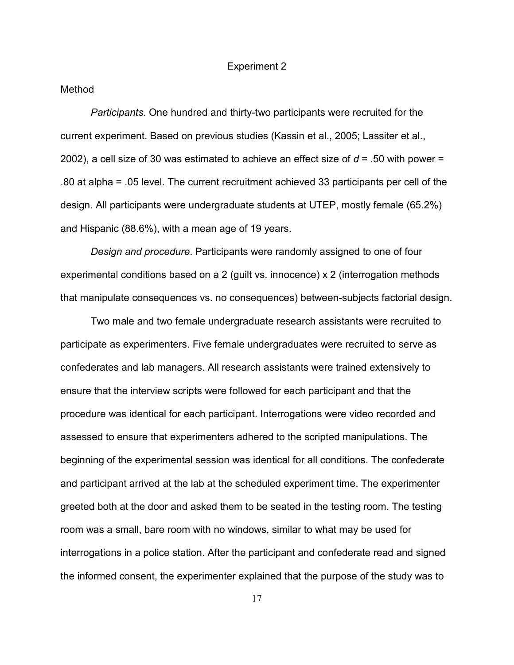#### Experiment 2

#### Method

*Participants*. One hundred and thirty-two participants were recruited for the current experiment. Based on previous studies (Kassin et al., 2005; Lassiter et al., 2002), a cell size of 30 was estimated to achieve an effect size of *d* = .50 with power = .80 at alpha = .05 level. The current recruitment achieved 33 participants per cell of the design. All participants were undergraduate students at UTEP, mostly female (65.2%) and Hispanic (88.6%), with a mean age of 19 years.

*Design and procedure*. Participants were randomly assigned to one of four experimental conditions based on a 2 (guilt vs. innocence) x 2 (interrogation methods that manipulate consequences vs. no consequences) between-subjects factorial design.

Two male and two female undergraduate research assistants were recruited to participate as experimenters. Five female undergraduates were recruited to serve as confederates and lab managers. All research assistants were trained extensively to ensure that the interview scripts were followed for each participant and that the procedure was identical for each participant. Interrogations were video recorded and assessed to ensure that experimenters adhered to the scripted manipulations. The beginning of the experimental session was identical for all conditions. The confederate and participant arrived at the lab at the scheduled experiment time. The experimenter greeted both at the door and asked them to be seated in the testing room. The testing room was a small, bare room with no windows, similar to what may be used for interrogations in a police station. After the participant and confederate read and signed the informed consent, the experimenter explained that the purpose of the study was to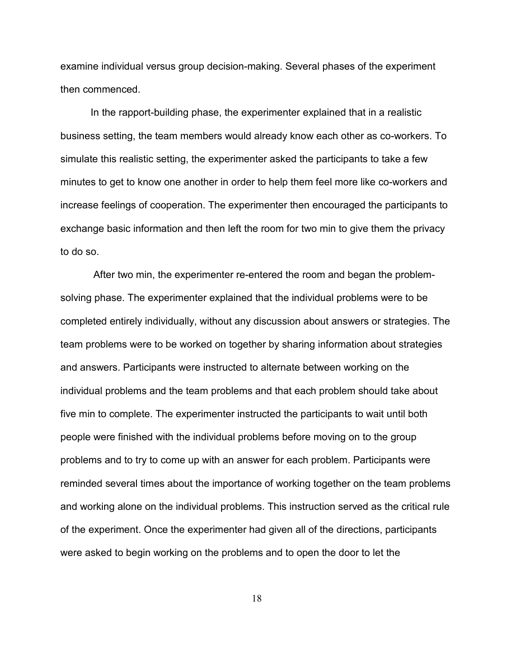examine individual versus group decision-making. Several phases of the experiment then commenced.

In the rapport-building phase, the experimenter explained that in a realistic business setting, the team members would already know each other as co-workers. To simulate this realistic setting, the experimenter asked the participants to take a few minutes to get to know one another in order to help them feel more like co-workers and increase feelings of cooperation. The experimenter then encouraged the participants to exchange basic information and then left the room for two min to give them the privacy to do so.

 After two min, the experimenter re-entered the room and began the problemsolving phase. The experimenter explained that the individual problems were to be completed entirely individually, without any discussion about answers or strategies. The team problems were to be worked on together by sharing information about strategies and answers. Participants were instructed to alternate between working on the individual problems and the team problems and that each problem should take about five min to complete. The experimenter instructed the participants to wait until both people were finished with the individual problems before moving on to the group problems and to try to come up with an answer for each problem. Participants were reminded several times about the importance of working together on the team problems and working alone on the individual problems. This instruction served as the critical rule of the experiment. Once the experimenter had given all of the directions, participants were asked to begin working on the problems and to open the door to let the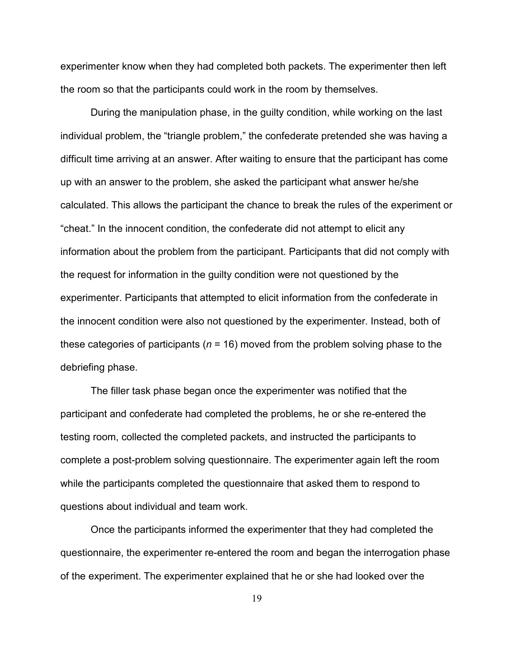experimenter know when they had completed both packets. The experimenter then left the room so that the participants could work in the room by themselves.

During the manipulation phase, in the guilty condition, while working on the last individual problem, the "triangle problem," the confederate pretended she was having a difficult time arriving at an answer. After waiting to ensure that the participant has come up with an answer to the problem, she asked the participant what answer he/she calculated. This allows the participant the chance to break the rules of the experiment or "cheat." In the innocent condition, the confederate did not attempt to elicit any information about the problem from the participant. Participants that did not comply with the request for information in the guilty condition were not questioned by the experimenter. Participants that attempted to elicit information from the confederate in the innocent condition were also not questioned by the experimenter. Instead, both of these categories of participants (*n* = 16) moved from the problem solving phase to the debriefing phase.

 The filler task phase began once the experimenter was notified that the participant and confederate had completed the problems, he or she re-entered the testing room, collected the completed packets, and instructed the participants to complete a post-problem solving questionnaire. The experimenter again left the room while the participants completed the questionnaire that asked them to respond to questions about individual and team work.

Once the participants informed the experimenter that they had completed the questionnaire, the experimenter re-entered the room and began the interrogation phase of the experiment. The experimenter explained that he or she had looked over the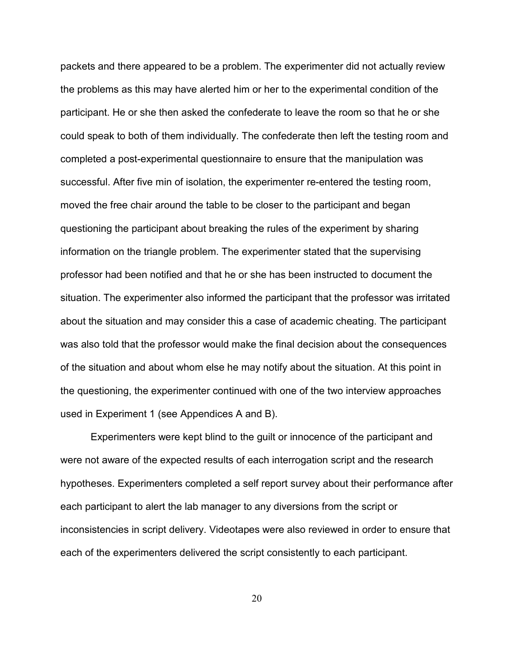packets and there appeared to be a problem. The experimenter did not actually review the problems as this may have alerted him or her to the experimental condition of the participant. He or she then asked the confederate to leave the room so that he or she could speak to both of them individually. The confederate then left the testing room and completed a post-experimental questionnaire to ensure that the manipulation was successful. After five min of isolation, the experimenter re-entered the testing room, moved the free chair around the table to be closer to the participant and began questioning the participant about breaking the rules of the experiment by sharing information on the triangle problem. The experimenter stated that the supervising professor had been notified and that he or she has been instructed to document the situation. The experimenter also informed the participant that the professor was irritated about the situation and may consider this a case of academic cheating. The participant was also told that the professor would make the final decision about the consequences of the situation and about whom else he may notify about the situation. At this point in the questioning, the experimenter continued with one of the two interview approaches used in Experiment 1 (see Appendices A and B).

 Experimenters were kept blind to the guilt or innocence of the participant and were not aware of the expected results of each interrogation script and the research hypotheses. Experimenters completed a self report survey about their performance after each participant to alert the lab manager to any diversions from the script or inconsistencies in script delivery. Videotapes were also reviewed in order to ensure that each of the experimenters delivered the script consistently to each participant.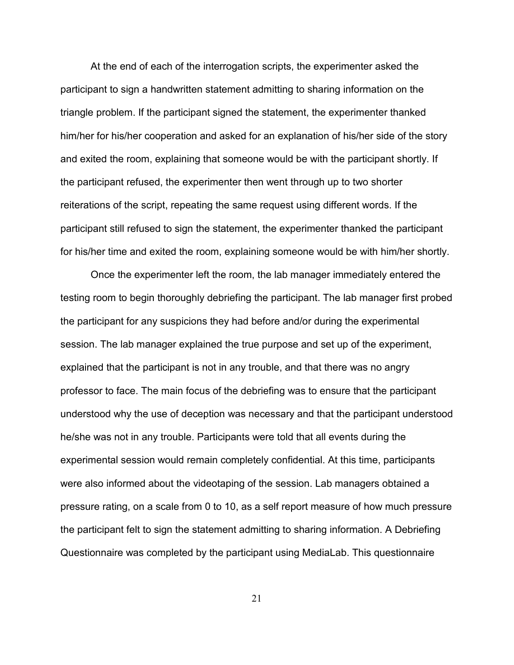At the end of each of the interrogation scripts, the experimenter asked the participant to sign a handwritten statement admitting to sharing information on the triangle problem. If the participant signed the statement, the experimenter thanked him/her for his/her cooperation and asked for an explanation of his/her side of the story and exited the room, explaining that someone would be with the participant shortly. If the participant refused, the experimenter then went through up to two shorter reiterations of the script, repeating the same request using different words. If the participant still refused to sign the statement, the experimenter thanked the participant for his/her time and exited the room, explaining someone would be with him/her shortly.

Once the experimenter left the room, the lab manager immediately entered the testing room to begin thoroughly debriefing the participant. The lab manager first probed the participant for any suspicions they had before and/or during the experimental session. The lab manager explained the true purpose and set up of the experiment, explained that the participant is not in any trouble, and that there was no angry professor to face. The main focus of the debriefing was to ensure that the participant understood why the use of deception was necessary and that the participant understood he/she was not in any trouble. Participants were told that all events during the experimental session would remain completely confidential. At this time, participants were also informed about the videotaping of the session. Lab managers obtained a pressure rating, on a scale from 0 to 10, as a self report measure of how much pressure the participant felt to sign the statement admitting to sharing information. A Debriefing Questionnaire was completed by the participant using MediaLab. This questionnaire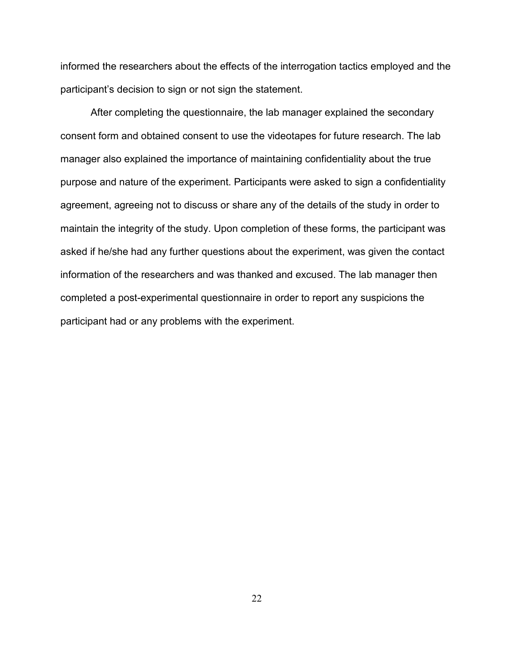informed the researchers about the effects of the interrogation tactics employed and the participant's decision to sign or not sign the statement.

 After completing the questionnaire, the lab manager explained the secondary consent form and obtained consent to use the videotapes for future research. The lab manager also explained the importance of maintaining confidentiality about the true purpose and nature of the experiment. Participants were asked to sign a confidentiality agreement, agreeing not to discuss or share any of the details of the study in order to maintain the integrity of the study. Upon completion of these forms, the participant was asked if he/she had any further questions about the experiment, was given the contact information of the researchers and was thanked and excused. The lab manager then completed a post-experimental questionnaire in order to report any suspicions the participant had or any problems with the experiment.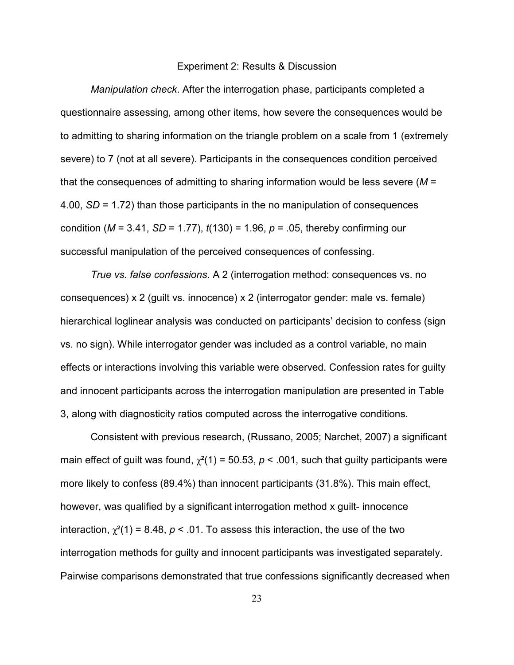#### Experiment 2: Results & Discussion

*Manipulation check*. After the interrogation phase, participants completed a questionnaire assessing, among other items, how severe the consequences would be to admitting to sharing information on the triangle problem on a scale from 1 (extremely severe) to 7 (not at all severe). Participants in the consequences condition perceived that the consequences of admitting to sharing information would be less severe (*M* = 4.00, *SD* = 1.72) than those participants in the no manipulation of consequences condition (*M* = 3.41, *SD* = 1.77), *t*(130) = 1.96, *p* = .05, thereby confirming our successful manipulation of the perceived consequences of confessing.

*True vs. false confessions*. A 2 (interrogation method: consequences vs. no consequences) x 2 (guilt vs. innocence) x 2 (interrogator gender: male vs. female) hierarchical loglinear analysis was conducted on participants' decision to confess (sign vs. no sign). While interrogator gender was included as a control variable, no main effects or interactions involving this variable were observed. Confession rates for guilty and innocent participants across the interrogation manipulation are presented in Table 3, along with diagnosticity ratios computed across the interrogative conditions.

Consistent with previous research, (Russano, 2005; Narchet, 2007) a significant main effect of guilt was found,  $\chi^2(1) = 50.53$ ,  $p < .001$ , such that guilty participants were more likely to confess (89.4%) than innocent participants (31.8%). This main effect, however, was qualified by a significant interrogation method x guilt- innocence interaction,  $\chi^2(1) = 8.48$ ,  $p < .01$ . To assess this interaction, the use of the two interrogation methods for guilty and innocent participants was investigated separately. Pairwise comparisons demonstrated that true confessions significantly decreased when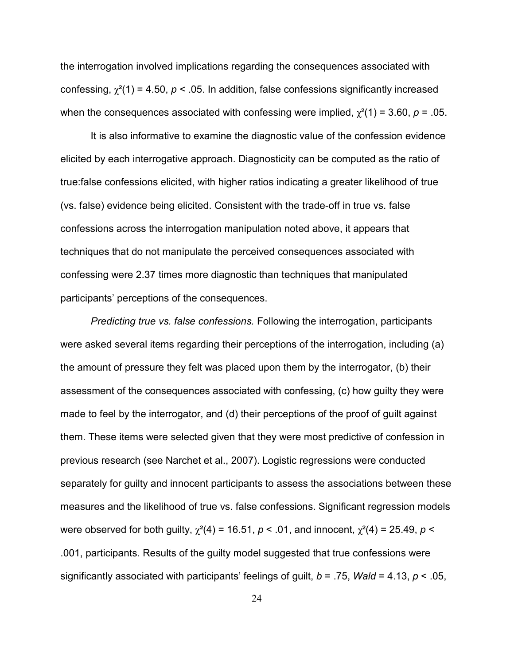the interrogation involved implications regarding the consequences associated with confessing,  $\chi^2(1) = 4.50$ ,  $p < .05$ . In addition, false confessions significantly increased when the consequences associated with confessing were implied,  $\chi^2(1) = 3.60$ ,  $p = .05$ .

It is also informative to examine the diagnostic value of the confession evidence elicited by each interrogative approach. Diagnosticity can be computed as the ratio of true:false confessions elicited, with higher ratios indicating a greater likelihood of true (vs. false) evidence being elicited. Consistent with the trade-off in true vs. false confessions across the interrogation manipulation noted above, it appears that techniques that do not manipulate the perceived consequences associated with confessing were 2.37 times more diagnostic than techniques that manipulated participants' perceptions of the consequences.

*Predicting true vs. false confessions.* Following the interrogation, participants were asked several items regarding their perceptions of the interrogation, including (a) the amount of pressure they felt was placed upon them by the interrogator, (b) their assessment of the consequences associated with confessing, (c) how guilty they were made to feel by the interrogator, and (d) their perceptions of the proof of guilt against them. These items were selected given that they were most predictive of confession in previous research (see Narchet et al., 2007). Logistic regressions were conducted separately for guilty and innocent participants to assess the associations between these measures and the likelihood of true vs. false confessions. Significant regression models were observed for both guilty,  $\chi^2(4) = 16.51$ ,  $p < .01$ , and innocent,  $\chi^2(4) = 25.49$ ,  $p <$ .001, participants. Results of the guilty model suggested that true confessions were significantly associated with participants' feelings of guilt, *b* = .75, *Wald* = 4.13, *p* < .05,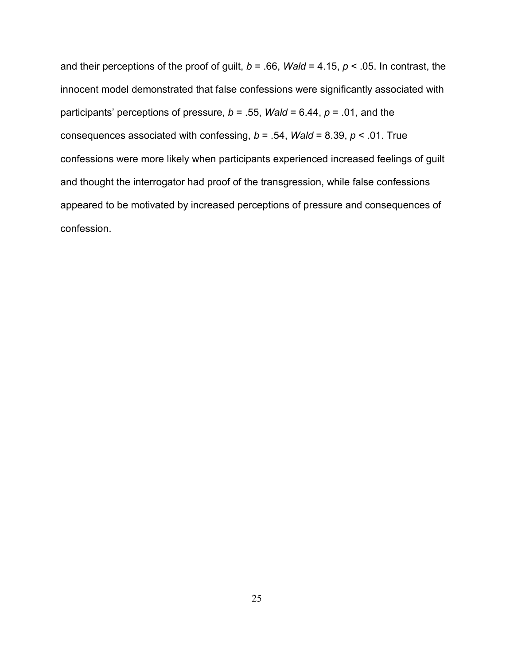and their perceptions of the proof of guilt, *b* = .66, *Wald* = 4.15, *p* < .05. In contrast, the innocent model demonstrated that false confessions were significantly associated with participants' perceptions of pressure, *b* = .55, *Wald* = 6.44, *p* = .01, and the consequences associated with confessing, *b* = .54, *Wald* = 8.39, *p* < .01. True confessions were more likely when participants experienced increased feelings of guilt and thought the interrogator had proof of the transgression, while false confessions appeared to be motivated by increased perceptions of pressure and consequences of confession.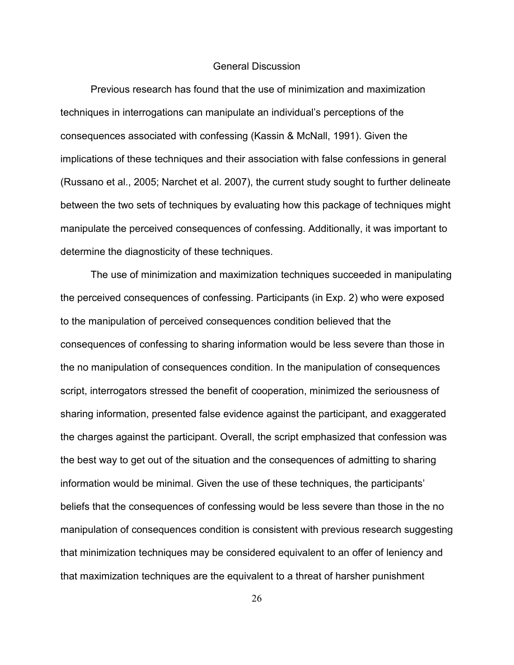#### General Discussion

 Previous research has found that the use of minimization and maximization techniques in interrogations can manipulate an individual's perceptions of the consequences associated with confessing (Kassin & McNall, 1991). Given the implications of these techniques and their association with false confessions in general (Russano et al., 2005; Narchet et al. 2007), the current study sought to further delineate between the two sets of techniques by evaluating how this package of techniques might manipulate the perceived consequences of confessing. Additionally, it was important to determine the diagnosticity of these techniques.

The use of minimization and maximization techniques succeeded in manipulating the perceived consequences of confessing. Participants (in Exp. 2) who were exposed to the manipulation of perceived consequences condition believed that the consequences of confessing to sharing information would be less severe than those in the no manipulation of consequences condition. In the manipulation of consequences script, interrogators stressed the benefit of cooperation, minimized the seriousness of sharing information, presented false evidence against the participant, and exaggerated the charges against the participant. Overall, the script emphasized that confession was the best way to get out of the situation and the consequences of admitting to sharing information would be minimal. Given the use of these techniques, the participants' beliefs that the consequences of confessing would be less severe than those in the no manipulation of consequences condition is consistent with previous research suggesting that minimization techniques may be considered equivalent to an offer of leniency and that maximization techniques are the equivalent to a threat of harsher punishment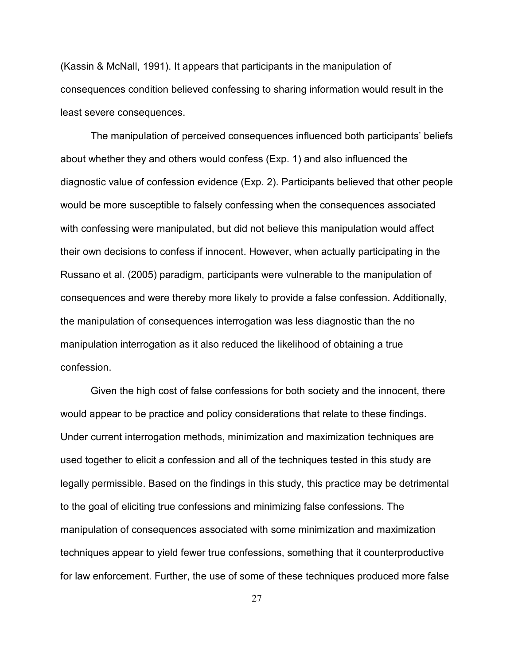(Kassin & McNall, 1991). It appears that participants in the manipulation of consequences condition believed confessing to sharing information would result in the least severe consequences.

 The manipulation of perceived consequences influenced both participants' beliefs about whether they and others would confess (Exp. 1) and also influenced the diagnostic value of confession evidence (Exp. 2). Participants believed that other people would be more susceptible to falsely confessing when the consequences associated with confessing were manipulated, but did not believe this manipulation would affect their own decisions to confess if innocent. However, when actually participating in the Russano et al. (2005) paradigm, participants were vulnerable to the manipulation of consequences and were thereby more likely to provide a false confession. Additionally, the manipulation of consequences interrogation was less diagnostic than the no manipulation interrogation as it also reduced the likelihood of obtaining a true confession.

 Given the high cost of false confessions for both society and the innocent, there would appear to be practice and policy considerations that relate to these findings. Under current interrogation methods, minimization and maximization techniques are used together to elicit a confession and all of the techniques tested in this study are legally permissible. Based on the findings in this study, this practice may be detrimental to the goal of eliciting true confessions and minimizing false confessions. The manipulation of consequences associated with some minimization and maximization techniques appear to yield fewer true confessions, something that it counterproductive for law enforcement. Further, the use of some of these techniques produced more false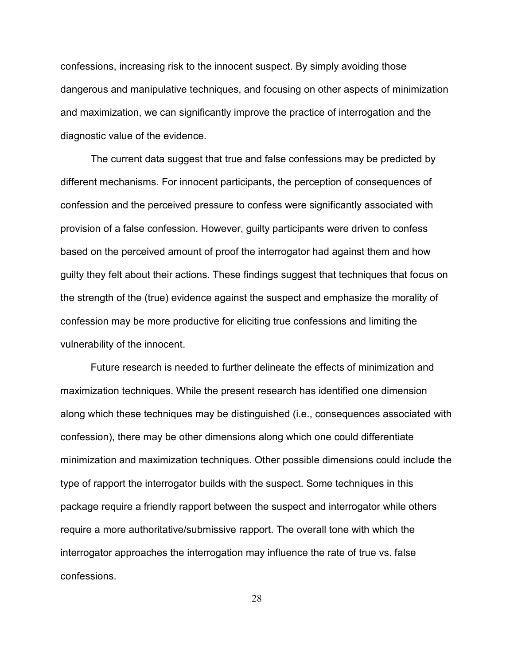confessions, increasing risk to the innocent suspect. By simply avoiding those dangerous and manipulative techniques, and focusing on other aspects of minimization and maximization, we can significantly improve the practice of interrogation and the diagnostic value of the evidence.

The current data suggest that true and false confessions may be predicted by different mechanisms. For innocent participants, the perception of consequences of confession and the perceived pressure to confess were significantly associated with provision of a false confession. However, guilty participants were driven to confess based on the perceived amount of proof the interrogator had against them and how guilty they felt about their actions. These findings suggest that techniques that focus on the strength of the (true) evidence against the suspect and emphasize the morality of confession may be more productive for eliciting true confessions and limiting the vulnerability of the innocent.

 Future research is needed to further delineate the effects of minimization and maximization techniques. While the present research has identified one dimension along which these techniques may be distinguished (i.e., consequences associated with confession), there may be other dimensions along which one could differentiate minimization and maximization techniques. Other possible dimensions could include the type of rapport the interrogator builds with the suspect. Some techniques in this package require a friendly rapport between the suspect and interrogator while others require a more authoritative/submissive rapport. The overall tone with which the interrogator approaches the interrogation may influence the rate of true vs. false confessions.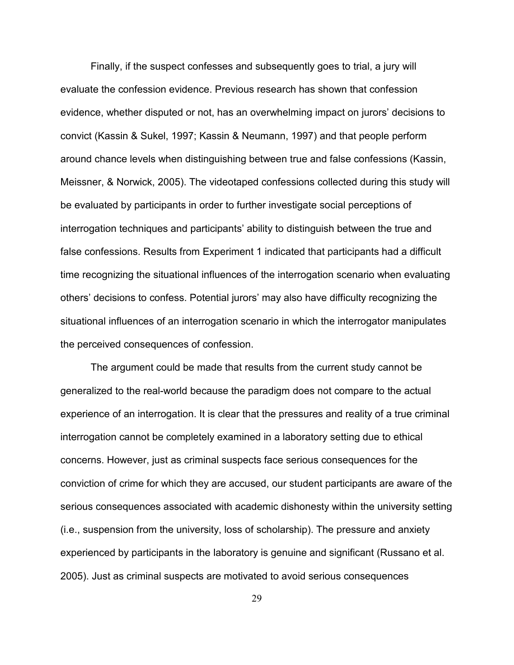Finally, if the suspect confesses and subsequently goes to trial, a jury will evaluate the confession evidence. Previous research has shown that confession evidence, whether disputed or not, has an overwhelming impact on jurors' decisions to convict (Kassin & Sukel, 1997; Kassin & Neumann, 1997) and that people perform around chance levels when distinguishing between true and false confessions (Kassin, Meissner, & Norwick, 2005). The videotaped confessions collected during this study will be evaluated by participants in order to further investigate social perceptions of interrogation techniques and participants' ability to distinguish between the true and false confessions. Results from Experiment 1 indicated that participants had a difficult time recognizing the situational influences of the interrogation scenario when evaluating others' decisions to confess. Potential jurors' may also have difficulty recognizing the situational influences of an interrogation scenario in which the interrogator manipulates the perceived consequences of confession.

 The argument could be made that results from the current study cannot be generalized to the real-world because the paradigm does not compare to the actual experience of an interrogation. It is clear that the pressures and reality of a true criminal interrogation cannot be completely examined in a laboratory setting due to ethical concerns. However, just as criminal suspects face serious consequences for the conviction of crime for which they are accused, our student participants are aware of the serious consequences associated with academic dishonesty within the university setting (i.e., suspension from the university, loss of scholarship). The pressure and anxiety experienced by participants in the laboratory is genuine and significant (Russano et al. 2005). Just as criminal suspects are motivated to avoid serious consequences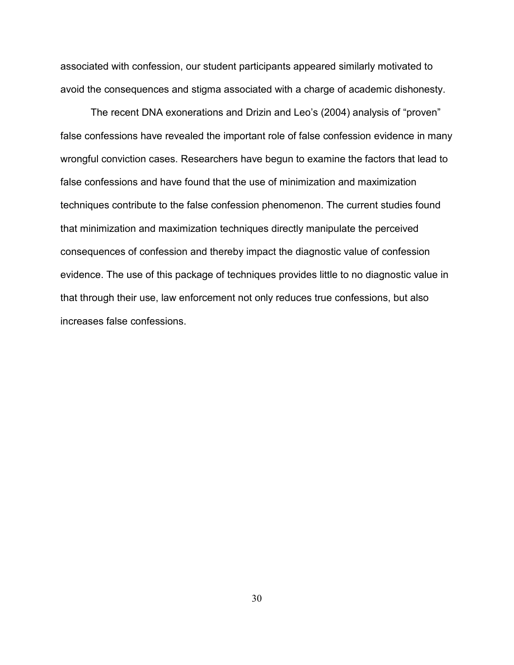associated with confession, our student participants appeared similarly motivated to avoid the consequences and stigma associated with a charge of academic dishonesty.

 The recent DNA exonerations and Drizin and Leo's (2004) analysis of "proven" false confessions have revealed the important role of false confession evidence in many wrongful conviction cases. Researchers have begun to examine the factors that lead to false confessions and have found that the use of minimization and maximization techniques contribute to the false confession phenomenon. The current studies found that minimization and maximization techniques directly manipulate the perceived consequences of confession and thereby impact the diagnostic value of confession evidence. The use of this package of techniques provides little to no diagnostic value in that through their use, law enforcement not only reduces true confessions, but also increases false confessions.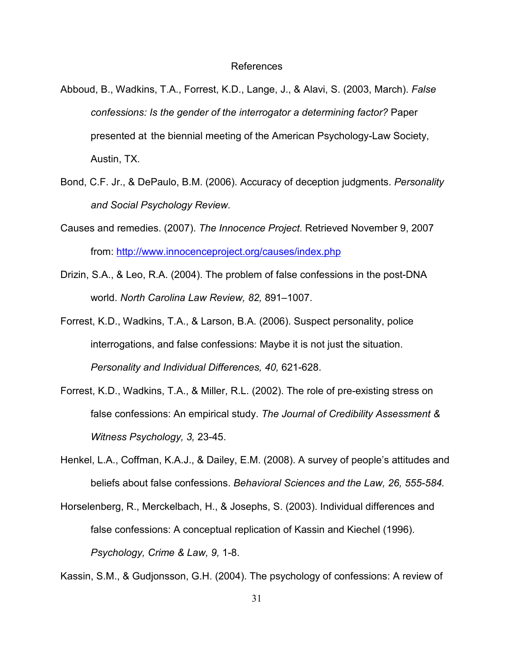#### References

- Abboud, B., Wadkins, T.A., Forrest, K.D., Lange, J., & Alavi, S. (2003, March). *False confessions: Is the gender of the interrogator a determining factor?* Paper presented at the biennial meeting of the American Psychology-Law Society, Austin, TX.
- Bond, C.F. Jr., & DePaulo, B.M. (2006). Accuracy of deception judgments. *Personality and Social Psychology Review.*
- Causes and remedies. (2007). *The Innocence Project*. Retrieved November 9, 2007 from:<http://www.innocenceproject.org/causes/index.php>
- Drizin, S.A., & Leo, R.A. (2004). The problem of false confessions in the post-DNA world. *North Carolina Law Review, 82,* 891–1007.
- Forrest, K.D., Wadkins, T.A., & Larson, B.A. (2006). Suspect personality, police interrogations, and false confessions: Maybe it is not just the situation. *Personality and Individual Differences, 40,* 621-628.
- Forrest, K.D., Wadkins, T.A., & Miller, R.L. (2002). The role of pre-existing stress on false confessions: An empirical study. *The Journal of Credibility Assessment & Witness Psychology, 3,* 23-45.
- Henkel, L.A., Coffman, K.A.J., & Dailey, E.M. (2008). A survey of people's attitudes and beliefs about false confessions. *Behavioral Sciences and the Law, 26, 555-584.*
- Horselenberg, R., Merckelbach, H., & Josephs, S. (2003). Individual differences and false confessions: A conceptual replication of Kassin and Kiechel (1996). *Psychology, Crime & Law, 9,* 1-8.

Kassin, S.M., & Gudjonsson, G.H. (2004). The psychology of confessions: A review of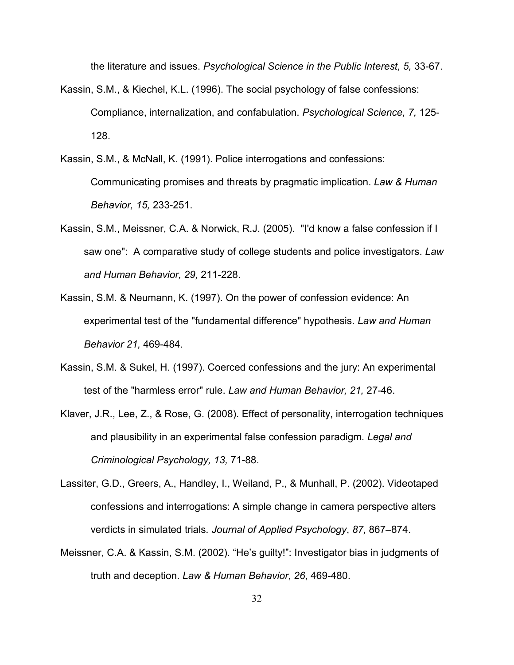the literature and issues. *Psychological Science in the Public Interest, 5,* 33-67.

- Kassin, S.M., & Kiechel, K.L. (1996). The social psychology of false confessions: Compliance, internalization, and confabulation. *Psychological Science, 7,* 125- 128.
- Kassin, S.M., & McNall, K. (1991). Police interrogations and confessions: Communicating promises and threats by pragmatic implication. *Law & Human Behavior, 15,* 233-251.
- Kassin, S.M., Meissner, C.A. & Norwick, R.J. (2005). "I'd know a false confession if I saw one": A comparative study of college students and police investigators. *Law and Human Behavior, 29,* 211-228.
- Kassin, S.M. & Neumann, K. (1997). On the power of confession evidence: An experimental test of the "fundamental difference" hypothesis. *Law and Human Behavior 21,* 469-484.
- Kassin, S.M. & Sukel, H. (1997). Coerced confessions and the jury: An experimental test of the "harmless error" rule. *Law and Human Behavior, 21,* 27-46.
- Klaver, J.R., Lee, Z., & Rose, G. (2008). Effect of personality, interrogation techniques and plausibility in an experimental false confession paradigm*. Legal and Criminological Psychology, 13,* 71-88.
- Lassiter, G.D., Greers, A., Handley, I., Weiland, P., & Munhall, P. (2002). Videotaped confessions and interrogations: A simple change in camera perspective alters verdicts in simulated trials*. Journal of Applied Psychology*, *87,* 867–874.
- Meissner, C.A. & Kassin, S.M. (2002). "He's guilty!": Investigator bias in judgments of truth and deception. *Law & Human Behavior*, *26*, 469-480.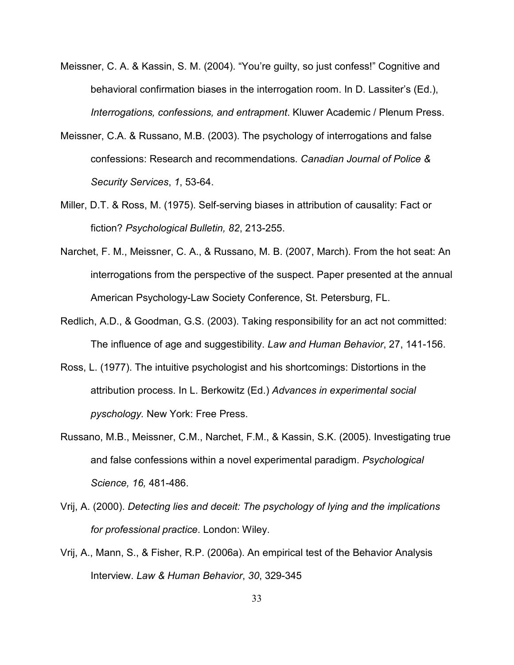- Meissner, C. A. & Kassin, S. M. (2004). "You're guilty, so just confess!" Cognitive and behavioral confirmation biases in the interrogation room. In D. Lassiter's (Ed.), *Interrogations, confessions, and entrapment*. Kluwer Academic / Plenum Press.
- Meissner, C.A. & Russano, M.B. (2003). The psychology of interrogations and false confessions: Research and recommendations. *Canadian Journal of Police & Security Services*, *1*, 53-64.
- Miller, D.T. & Ross, M. (1975). Self-serving biases in attribution of causality: Fact or fiction? *Psychological Bulletin, 82*, 213-255.
- Narchet, F. M., Meissner, C. A., & Russano, M. B. (2007, March). From the hot seat: An interrogations from the perspective of the suspect. Paper presented at the annual American Psychology-Law Society Conference, St. Petersburg, FL.
- Redlich, A.D., & Goodman, G.S. (2003). Taking responsibility for an act not committed: The influence of age and suggestibility. *Law and Human Behavior*, 27, 141-156.
- Ross, L. (1977). The intuitive psychologist and his shortcomings: Distortions in the attribution process. In L. Berkowitz (Ed.) *Advances in experimental social pyschology.* New York: Free Press.
- Russano, M.B., Meissner, C.M., Narchet, F.M., & Kassin, S.K. (2005). Investigating true and false confessions within a novel experimental paradigm. *Psychological Science, 16,* 481-486.
- Vrij, A. (2000). *Detecting lies and deceit: The psychology of lying and the implications for professional practice*. London: Wiley.
- Vrij, A., Mann, S., & Fisher, R.P. (2006a). An empirical test of the Behavior Analysis Interview. *Law & Human Behavior*, *30*, 329-345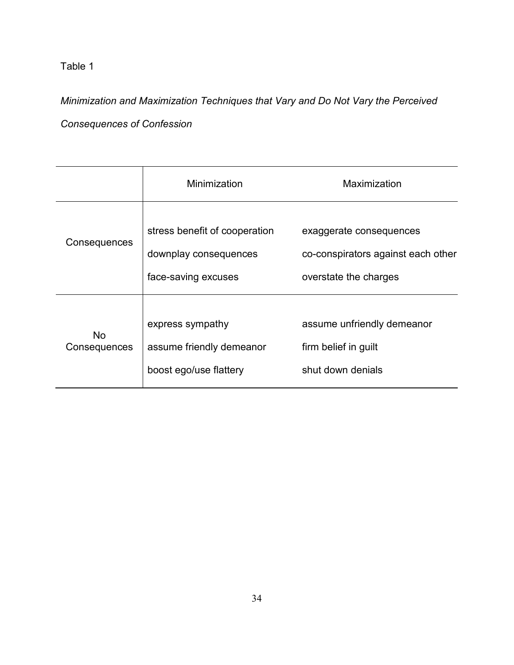Table 1

*Minimization and Maximization Techniques that Vary and Do Not Vary the Perceived Consequences of Confession* 

|                           | Minimization                                                                  | Maximization                                                                           |
|---------------------------|-------------------------------------------------------------------------------|----------------------------------------------------------------------------------------|
| Consequences              | stress benefit of cooperation<br>downplay consequences<br>face-saving excuses | exaggerate consequences<br>co-conspirators against each other<br>overstate the charges |
| <b>No</b><br>Consequences | express sympathy<br>assume friendly demeanor<br>boost ego/use flattery        | assume unfriendly demeanor<br>firm belief in guilt<br>shut down denials                |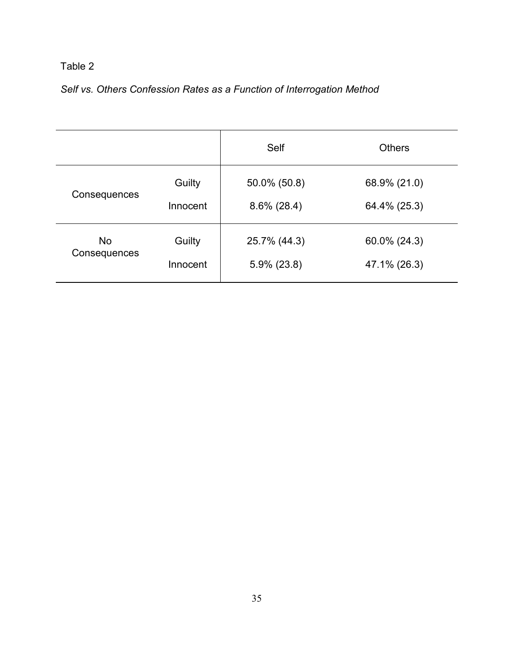# Table 2

# *Self vs. Others Confession Rates as a Function of Interrogation Method*

|              |          | Self           | <b>Others</b> |
|--------------|----------|----------------|---------------|
| Consequences | Guilty   | 50.0% (50.8)   | 68.9% (21.0)  |
|              | Innocent | $8.6\%$ (28.4) | 64.4% (25.3)  |
| <b>No</b>    | Guilty   | 25.7% (44.3)   | 60.0% (24.3)  |
| Consequences | Innocent | $5.9\%$ (23.8) | 47.1% (26.3)  |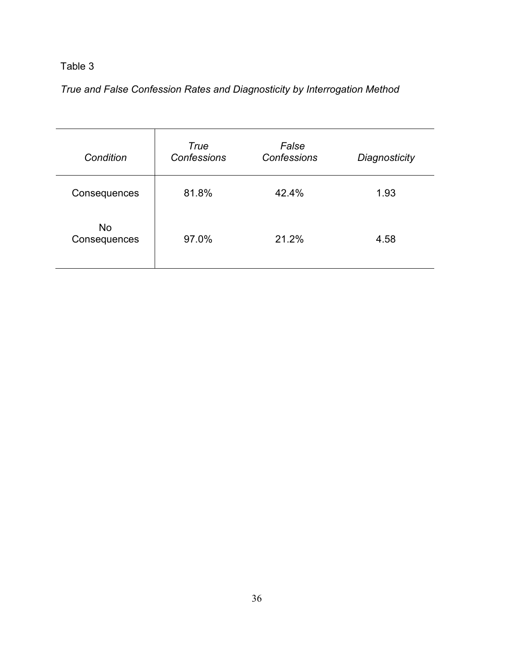# Table 3

# *True and False Confession Rates and Diagnosticity by Interrogation Method*

| Condition                 | True<br><b>Confessions</b> | False<br><b>Confessions</b> | Diagnosticity |
|---------------------------|----------------------------|-----------------------------|---------------|
| Consequences              | 81.8%                      | 42.4%                       | 1.93          |
| <b>No</b><br>Consequences | 97.0%                      | 21.2%                       | 4.58          |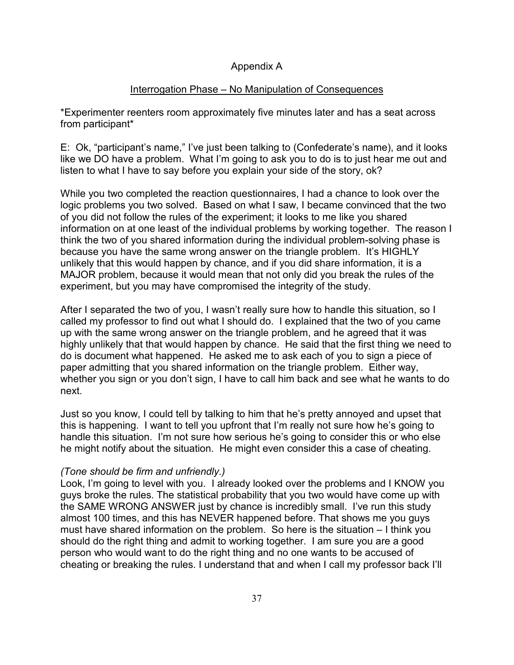### Appendix A

### Interrogation Phase – No Manipulation of Consequences

\*Experimenter reenters room approximately five minutes later and has a seat across from participant\*

E: Ok, "participant's name," I've just been talking to (Confederate's name), and it looks like we DO have a problem. What I'm going to ask you to do is to just hear me out and listen to what I have to say before you explain your side of the story, ok?

While you two completed the reaction questionnaires, I had a chance to look over the logic problems you two solved. Based on what I saw, I became convinced that the two of you did not follow the rules of the experiment; it looks to me like you shared information on at one least of the individual problems by working together. The reason I think the two of you shared information during the individual problem-solving phase is because you have the same wrong answer on the triangle problem. It's HIGHLY unlikely that this would happen by chance, and if you did share information, it is a MAJOR problem, because it would mean that not only did you break the rules of the experiment, but you may have compromised the integrity of the study.

After I separated the two of you, I wasn't really sure how to handle this situation, so I called my professor to find out what I should do. I explained that the two of you came up with the same wrong answer on the triangle problem, and he agreed that it was highly unlikely that that would happen by chance. He said that the first thing we need to do is document what happened. He asked me to ask each of you to sign a piece of paper admitting that you shared information on the triangle problem. Either way, whether you sign or you don't sign, I have to call him back and see what he wants to do next.

Just so you know, I could tell by talking to him that he's pretty annoyed and upset that this is happening. I want to tell you upfront that I'm really not sure how he's going to handle this situation. I'm not sure how serious he's going to consider this or who else he might notify about the situation. He might even consider this a case of cheating.

### *(Tone should be firm and unfriendly.)*

Look, I'm going to level with you. I already looked over the problems and I KNOW you guys broke the rules. The statistical probability that you two would have come up with the SAME WRONG ANSWER just by chance is incredibly small. I've run this study almost 100 times, and this has NEVER happened before. That shows me you guys must have shared information on the problem. So here is the situation – I think you should do the right thing and admit to working together. I am sure you are a good person who would want to do the right thing and no one wants to be accused of cheating or breaking the rules. I understand that and when I call my professor back I'll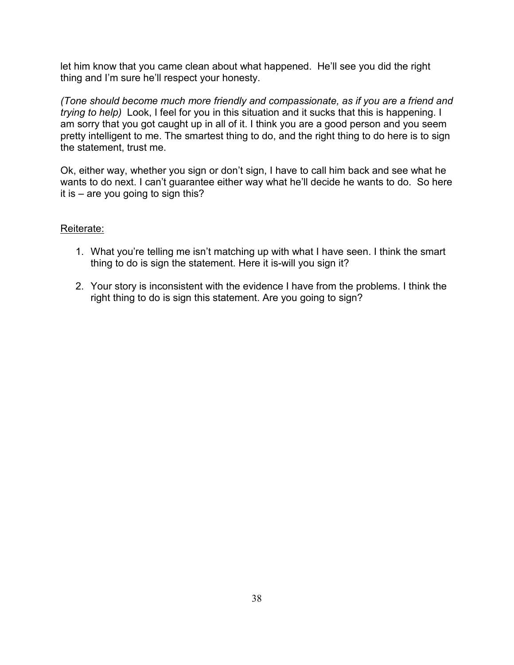let him know that you came clean about what happened. He'll see you did the right thing and I'm sure he'll respect your honesty.

*(Tone should become much more friendly and compassionate, as if you are a friend and trying to help)* Look, I feel for you in this situation and it sucks that this is happening. I am sorry that you got caught up in all of it. I think you are a good person and you seem pretty intelligent to me. The smartest thing to do, and the right thing to do here is to sign the statement, trust me.

Ok, either way, whether you sign or don't sign, I have to call him back and see what he wants to do next. I can't guarantee either way what he'll decide he wants to do. So here it is – are you going to sign this?

### Reiterate:

- 1. What you're telling me isn't matching up with what I have seen. I think the smart thing to do is sign the statement. Here it is-will you sign it?
- 2. Your story is inconsistent with the evidence I have from the problems. I think the right thing to do is sign this statement. Are you going to sign?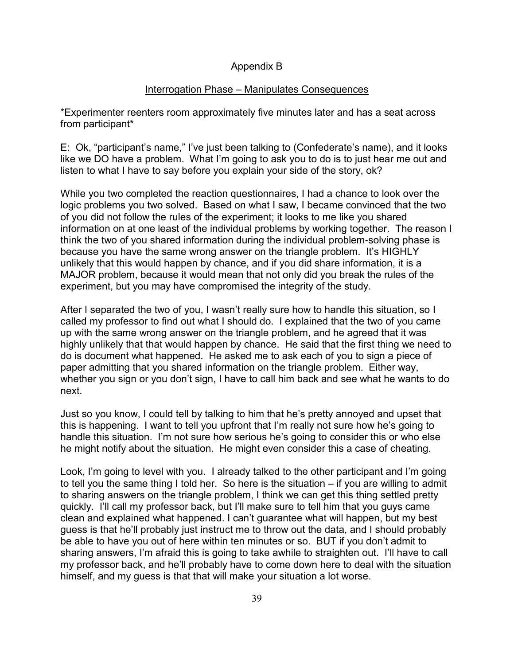### Appendix B

### Interrogation Phase – Manipulates Consequences

\*Experimenter reenters room approximately five minutes later and has a seat across from participant\*

E: Ok, "participant's name," I've just been talking to (Confederate's name), and it looks like we DO have a problem. What I'm going to ask you to do is to just hear me out and listen to what I have to say before you explain your side of the story, ok?

While you two completed the reaction questionnaires, I had a chance to look over the logic problems you two solved. Based on what I saw, I became convinced that the two of you did not follow the rules of the experiment; it looks to me like you shared information on at one least of the individual problems by working together. The reason I think the two of you shared information during the individual problem-solving phase is because you have the same wrong answer on the triangle problem. It's HIGHLY unlikely that this would happen by chance, and if you did share information, it is a MAJOR problem, because it would mean that not only did you break the rules of the experiment, but you may have compromised the integrity of the study.

After I separated the two of you, I wasn't really sure how to handle this situation, so I called my professor to find out what I should do. I explained that the two of you came up with the same wrong answer on the triangle problem, and he agreed that it was highly unlikely that that would happen by chance. He said that the first thing we need to do is document what happened. He asked me to ask each of you to sign a piece of paper admitting that you shared information on the triangle problem. Either way, whether you sign or you don't sign, I have to call him back and see what he wants to do next.

Just so you know, I could tell by talking to him that he's pretty annoyed and upset that this is happening. I want to tell you upfront that I'm really not sure how he's going to handle this situation. I'm not sure how serious he's going to consider this or who else he might notify about the situation. He might even consider this a case of cheating.

Look, I'm going to level with you. I already talked to the other participant and I'm going to tell you the same thing I told her. So here is the situation – if you are willing to admit to sharing answers on the triangle problem, I think we can get this thing settled pretty quickly. I'll call my professor back, but I'll make sure to tell him that you guys came clean and explained what happened. I can't guarantee what will happen, but my best guess is that he'll probably just instruct me to throw out the data, and I should probably be able to have you out of here within ten minutes or so. BUT if you don't admit to sharing answers, I'm afraid this is going to take awhile to straighten out. I'll have to call my professor back, and he'll probably have to come down here to deal with the situation himself, and my guess is that that will make your situation a lot worse.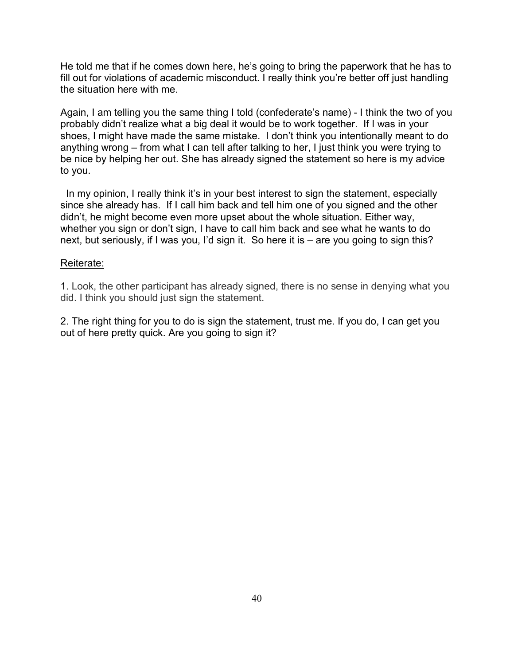He told me that if he comes down here, he's going to bring the paperwork that he has to fill out for violations of academic misconduct. I really think you're better off just handling the situation here with me.

Again, I am telling you the same thing I told (confederate's name) - I think the two of you probably didn't realize what a big deal it would be to work together. If I was in your shoes, I might have made the same mistake. I don't think you intentionally meant to do anything wrong – from what I can tell after talking to her, I just think you were trying to be nice by helping her out. She has already signed the statement so here is my advice to you.

In my opinion, I really think it's in your best interest to sign the statement, especially since she already has. If I call him back and tell him one of you signed and the other didn't, he might become even more upset about the whole situation. Either way, whether you sign or don't sign, I have to call him back and see what he wants to do next, but seriously, if I was you, I'd sign it. So here it is – are you going to sign this?

### Reiterate:

1. Look, the other participant has already signed, there is no sense in denying what you did. I think you should just sign the statement.

2. The right thing for you to do is sign the statement, trust me. If you do, I can get you out of here pretty quick. Are you going to sign it?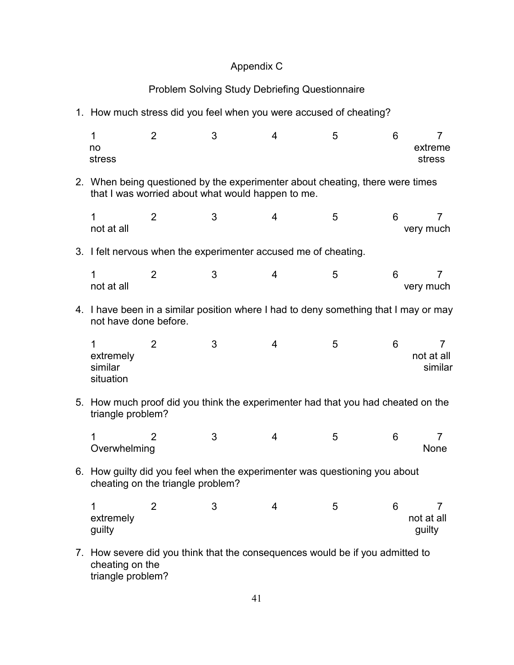# Appendix C

# Problem Solving Study Debriefing Questionnaire

1. How much stress did you feel when you were accused of cheating?

| 1<br>no<br>stress                                                                                                                  | $\overline{2}$                                                                       | 3 | 4 | 5 | 6 | 7<br>extreme<br>stress     |
|------------------------------------------------------------------------------------------------------------------------------------|--------------------------------------------------------------------------------------|---|---|---|---|----------------------------|
| 2. When being questioned by the experimenter about cheating, there were times<br>that I was worried about what would happen to me. |                                                                                      |   |   |   |   |                            |
| 1<br>not at all                                                                                                                    | $\overline{2}$                                                                       | 3 | 4 | 5 | 6 | 7<br>very much             |
|                                                                                                                                    | 3. I felt nervous when the experimenter accused me of cheating.                      |   |   |   |   |                            |
| 1<br>not at all                                                                                                                    | 2                                                                                    | 3 | 4 | 5 | 6 | 7<br>very much             |
| not have done before.                                                                                                              | 4. I have been in a similar position where I had to deny something that I may or may |   |   |   |   |                            |
| 1<br>extremely<br>similar<br>situation                                                                                             | 2                                                                                    | 3 | 4 | 5 | 6 | 7<br>not at all<br>similar |
| triangle problem?                                                                                                                  | 5. How much proof did you think the experimenter had that you had cheated on the     |   |   |   |   |                            |
| 1<br>Overwhelming                                                                                                                  | 2                                                                                    | 3 | 4 | 5 | 6 | 7<br><b>None</b>           |
| 6. How guilty did you feel when the experimenter was questioning you about<br>cheating on the triangle problem?                    |                                                                                      |   |   |   |   |                            |
| $\overline{A}$<br>extremely<br>guilty                                                                                              | $\overline{2}$                                                                       | 3 | 4 |   | 6 | not at all<br>guilty       |
| cheating on the                                                                                                                    | 7. How severe did you think that the consequences would be if you admitted to        |   |   |   |   |                            |

triangle problem?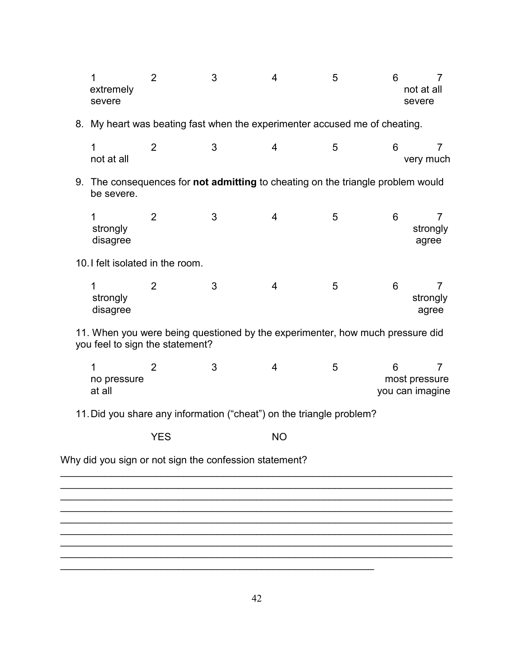|                                                                                                                  | 1<br>extremely<br>severe         | 2                                                                                      | 3 | $\overline{4}$ | 5 | 6 | 7<br>not at all<br>severe                          |
|------------------------------------------------------------------------------------------------------------------|----------------------------------|----------------------------------------------------------------------------------------|---|----------------|---|---|----------------------------------------------------|
|                                                                                                                  |                                  | 8. My heart was beating fast when the experimenter accused me of cheating.             |   |                |   |   |                                                    |
|                                                                                                                  | $\mathbf 1$<br>not at all        | $\overline{2}$                                                                         | 3 | 4              | 5 | 6 | $\overline{7}$<br>very much                        |
|                                                                                                                  | be severe.                       | 9. The consequences for <b>not admitting</b> to cheating on the triangle problem would |   |                |   |   |                                                    |
|                                                                                                                  | 1<br>strongly<br>disagree        | $\overline{2}$                                                                         | 3 | 4              | 5 | 6 | $\overline{7}$<br>strongly<br>agree                |
|                                                                                                                  | 10. I felt isolated in the room. |                                                                                        |   |                |   |   |                                                    |
|                                                                                                                  | 1<br>strongly<br>disagree        | $\overline{2}$                                                                         | 3 | 4              | 5 | 6 | 7<br>strongly<br>agree                             |
| 11. When you were being questioned by the experimenter, how much pressure did<br>you feel to sign the statement? |                                  |                                                                                        |   |                |   |   |                                                    |
|                                                                                                                  | 1<br>no pressure<br>at all       | 2                                                                                      | 3 | 4              | 5 | 6 | $\overline{7}$<br>most pressure<br>you can imagine |
| 11. Did you share any information ("cheat") on the triangle problem?                                             |                                  |                                                                                        |   |                |   |   |                                                    |
|                                                                                                                  |                                  | <b>YES</b>                                                                             |   | <b>NO</b>      |   |   |                                                    |
|                                                                                                                  |                                  | Why did you sign or not sign the confession statement?                                 |   |                |   |   |                                                    |
|                                                                                                                  |                                  |                                                                                        |   |                |   |   |                                                    |
|                                                                                                                  |                                  |                                                                                        |   |                |   |   |                                                    |
|                                                                                                                  |                                  |                                                                                        |   |                |   |   |                                                    |

 $\mathcal{L}_\text{max}$  , and the contract of the contract of the contract of the contract of the contract of the contract of the contract of the contract of the contract of the contract of the contract of the contract of the contr

 $\overline{\phantom{a}}$  , and the contribution of the contribution of the contribution of the contribution of the contribution of the contribution of the contribution of the contribution of the contribution of the contribution of the  $\overline{\phantom{a}}$  , and the contribution of the contribution of the contribution of the contribution of the contribution of the contribution of the contribution of the contribution of the contribution of the contribution of the  $\overline{\phantom{a}}$  , and the contribution of the contribution of the contribution of the contribution of the contribution of the contribution of the contribution of the contribution of the contribution of the contribution of the